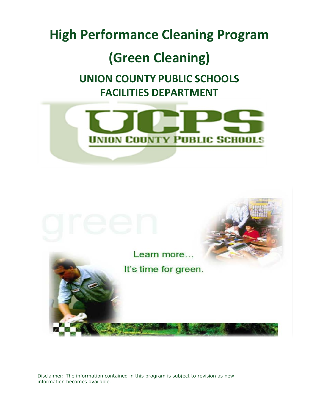# **High Performance Cleaning Program**

# **(Green Cleaning)**

# **UNION COUNTY PUBLIC SCHOOLS FACILITIES DEPARTMENT**





Disclaimer: The information contained in this program is subject to revision as new information becomes available.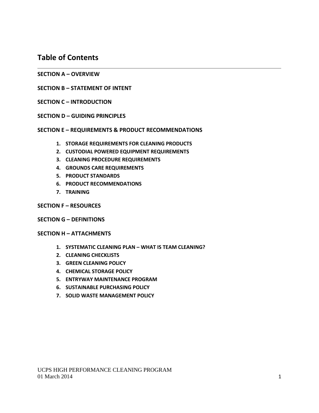# **Table of Contents**

- **SECTION A – OVERVIEW**
- **SECTION B – STATEMENT OF INTENT**
- **SECTION C – INTRODUCTION**
- **SECTION D – GUIDING PRINCIPLES**
- **SECTION E – REQUIREMENTS & PRODUCT RECOMMENDATIONS**
	- **1. STORAGE REQUIREMENTS FOR CLEANING PRODUCTS**
	- **2. CUSTODIAL POWERED EQUIPMENT REQUIREMENTS**
	- **3. CLEANING PROCEDURE REQUIREMENTS**
	- **4. GROUNDS CARE REQUIREMENTS**
	- **5. PRODUCT STANDARDS**
	- **6. PRODUCT RECOMMENDATIONS**
	- **7. TRAINING**
- **SECTION F – RESOURCES**

#### **SECTION G – DEFINITIONS**

#### **SECTION H – ATTACHMENTS**

- **1. SYSTEMATIC CLEANING PLAN – WHAT IS TEAM CLEANING?**
- **2. CLEANING CHECKLISTS**
- **3. GREEN CLEANING POLICY**
- **4. CHEMICAL STORAGE POLICY**
- **5. ENTRYWAY MAINTENANCE PROGRAM**
- **6. SUSTAINABLE PURCHASING POLICY**
- **7. SOLID WASTE MANAGEMENT POLICY**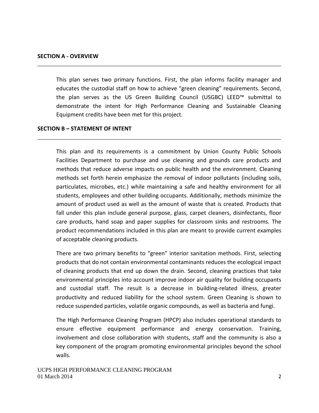This plan serves two primary functions. First, the plan informs facility manager and educates the custodial staff on how to achieve "green cleaning" requirements. Second, the plan serves as the US Green Building Council (USGBC) LEED™ submittal to demonstrate the intent for High Performance Cleaning and Sustainable Cleaning Equipment credits have been met for this project.

#### **SECTION B – STATEMENT OF INTENT**

This plan and its requirements is a commitment by Union County Public Schools Facilities Department to purchase and use cleaning and grounds care products and methods that reduce adverse impacts on public health and the environment. Cleaning methods set forth herein emphasize the removal of indoor pollutants (including soils, particulates, microbes, etc.) while maintaining a safe and healthy environment for all students, employees and other building occupants. Additionally, methods minimize the amount of product used as well as the amount of waste that is created. Products that fall under this plan include general purpose, glass, carpet cleaners, disinfectants, floor care products, hand soap and paper supplies for classroom sinks and restrooms. The product recommendations included in this plan are meant to provide current examples of acceptable cleaning products.

There are two primary benefits to "green" interior sanitation methods. First, selecting products that do not contain environmental contaminants reduces the ecological impact of cleaning products that end up down the drain. Second, cleaning practices that take environmental principles into account improve indoor air quality for building occupants and custodial staff. The result is a decrease in building-related illness, greater productivity and reduced liability for the school system. Green Cleaning is shown to reduce suspended particles, volatile organic compounds, as well as bacteria and fungi.

The High Performance Cleaning Program (HPCP) also includes operational standards to ensure effective equipment performance and energy conservation. Training, involvement and close collaboration with students, staff and the community is also a key component of the program promoting environmental principles beyond the school walls.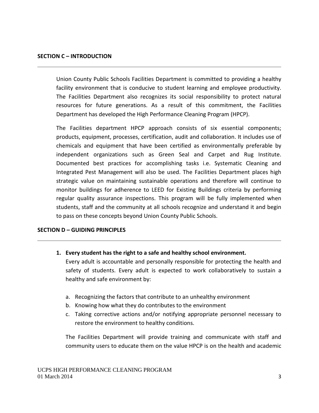Union County Public Schools Facilities Department is committed to providing a healthy facility environment that is conducive to student learning and employee productivity. The Facilities Department also recognizes its social responsibility to protect natural resources for future generations. As a result of this commitment, the Facilities Department has developed the High Performance Cleaning Program (HPCP).

The Facilities department HPCP approach consists of six essential components; products, equipment, processes, certification, audit and collaboration. It includes use of chemicals and equipment that have been certified as environmentally preferable by independent organizations such as Green Seal and Carpet and Rug Institute. Documented best practices for accomplishing tasks i.e. Systematic Cleaning and Integrated Pest Management will also be used. The Facilities Department places high strategic value on maintaining sustainable operations and therefore will continue to monitor buildings for adherence to LEED for Existing Buildings criteria by performing regular quality assurance inspections. This program will be fully implemented when students, staff and the community at all schools recognize and understand it and begin to pass on these concepts beyond Union County Public Schools.

#### **SECTION D – GUIDING PRINCIPLES**

- **1. Every student has the right to a safe and healthy school environment.** Every adult is accountable and personally responsible for protecting the health and safety of students. Every adult is expected to work collaboratively to sustain a healthy and safe environment by:
	- a. Recognizing the factors that contribute to an unhealthy environment
	- b. Knowing how what they do contributes to the environment
	- c. Taking corrective actions and/or notifying appropriate personnel necessary to restore the environment to healthy conditions.

The Facilities Department will provide training and communicate with staff and community users to educate them on the value HPCP is on the health and academic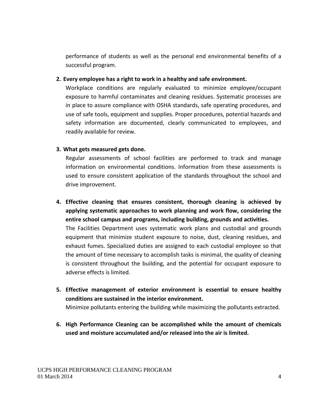performance of students as well as the personal end environmental benefits of a successful program.

**2. Every employee has a right to work in a healthy and safe environment.**

Workplace conditions are regularly evaluated to minimize employee/occupant exposure to harmful contaminates and cleaning residues. Systematic processes are in place to assure compliance with OSHA standards, safe operating procedures, and use of safe tools, equipment and supplies. Proper procedures, potential hazards and safety information are documented, clearly communicated to employees, and readily available for review.

## **3. What gets measured gets done.**

Regular assessments of school facilities are performed to track and manage information on environmental conditions. Information from these assessments is used to ensure consistent application of the standards throughout the school and drive improvement.

- **4. Effective cleaning that ensures consistent, thorough cleaning is achieved by applying systematic approaches to work planning and work flow, considering the entire school campus and programs, including building, grounds and activities.** The Facilities Department uses systematic work plans and custodial and grounds equipment that minimize student exposure to noise, dust, cleaning residues, and exhaust fumes. Specialized duties are assigned to each custodial employee so that the amount of time necessary to accomplish tasks is minimal, the quality of cleaning is consistent throughout the building, and the potential for occupant exposure to adverse effects is limited.
- **5. Effective management of exterior environment is essential to ensure healthy conditions are sustained in the interior environment.**

Minimize pollutants entering the building while maximizing the pollutants extracted.

**6. High Performance Cleaning can be accomplished while the amount of chemicals used and moisture accumulated and/or released into the air is limited.**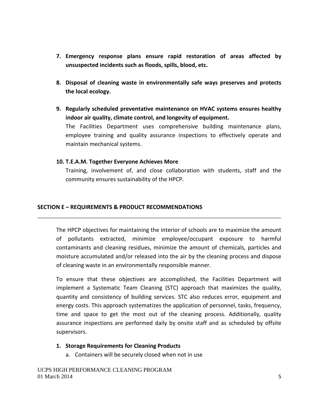- **7. Emergency response plans ensure rapid restoration of areas affected by unsuspected incidents such as floods, spills, blood, etc.**
- **8. Disposal of cleaning waste in environmentally safe ways preserves and protects the local ecology.**
- **9. Regularly scheduled preventative maintenance on HVAC systems ensures healthy indoor air quality, climate control, and longevity of equipment.** The Facilities Department uses comprehensive building maintenance plans, employee training and quality assurance inspections to effectively operate and maintain mechanical systems.

#### **10. T.E.A.M. Together Everyone Achieves More**

Training, involvement of, and close collaboration with students, staff and the community ensures sustainability of the HPCP.

#### **SECTION E – REQUIREMENTS & PRODUCT RECOMMENDATIONS**

The HPCP objectives for maintaining the interior of schools are to maximize the amount of pollutants extracted, minimize employee/occupant exposure to harmful contaminants and cleaning residues, minimize the amount of chemicals, particles and moisture accumulated and/or released into the air by the cleaning process and dispose of cleaning waste in an environmentally responsible manner.

To ensure that these objectives are accomplished, the Facilities Department will implement a Systematic Team Cleaning (STC) approach that maximizes the quality, quantity and consistency of building services. STC also reduces error, equipment and energy costs. This approach systematizes the application of personnel, tasks, frequency, time and space to get the most out of the cleaning process. Additionally, quality assurance inspections are performed daily by onsite staff and as scheduled by offsite supervisors.

#### **1. Storage Requirements for Cleaning Products**

a. Containers will be securely closed when not in use

UCPS HIGH PERFORMANCE CLEANING PROGRAM 01 March 2014  $\frac{5}{5}$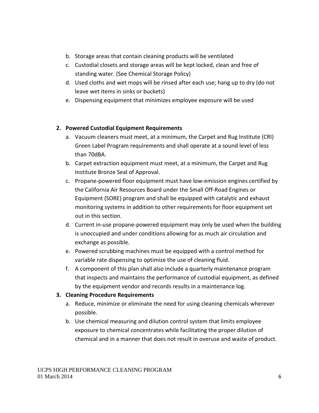- b. Storage areas that contain cleaning products will be ventilated
- c. Custodial closets and storage areas will be kept locked, clean and free of standing water. (See Chemical Storage Policy)
- d. Used cloths and wet mops will be rinsed after each use; hang up to dry (do not leave wet items in sinks or buckets)
- e. Dispensing equipment that minimizes employee exposure will be used

## **2. Powered Custodial Equipment Requirements**

- a. Vacuum cleaners must meet, at a minimum, the Carpet and Rug Institute (CRI) Green Label Program requirements and shall operate at a sound level of less than 70dBA.
- b. Carpet extraction equipment must meet, at a minimum, the Carpet and Rug Institute Bronze Seal of Approval.
- c. Propane-powered floor equipment must have low-emission engines certified by the California Air Resources Board under the Small Off-Road Engines or Equipment (SORE) program and shall be equipped with catalytic and exhaust monitoring systems in addition to other requirements for floor equipment set out in this section.
- d. Current in-use propane-powered equipment may only be used when the building is unoccupied and under conditions allowing for as much air circulation and exchange as possible.
- e. Powered scrubbing machines must be equipped with a control method for variable rate dispensing to optimize the use of cleaning fluid.
- f. A component of this plan shall also include a quarterly maintenance program that inspects and maintains the performance of custodial equipment, as defined by the equipment vendor and records results in a maintenance log.

## **3. Cleaning Procedure Requirements**

- a. Reduce, minimize or eliminate the need for using cleaning chemicals wherever possible.
- b. Use chemical measuring and dilution control system that limits employee exposure to chemical concentrates while facilitating the proper dilution of chemical and in a manner that does not result in overuse and waste of product.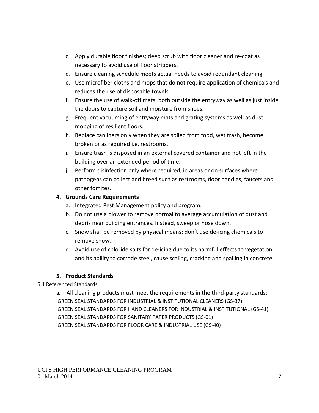- c. Apply durable floor finishes; deep scrub with floor cleaner and re-coat as necessary to avoid use of floor strippers.
- d. Ensure cleaning schedule meets actual needs to avoid redundant cleaning.
- e. Use microfiber cloths and mops that do not require application of chemicals and reduces the use of disposable towels.
- f. Ensure the use of walk-off mats, both outside the entryway as well as just inside the doors to capture soil and moisture from shoes.
- g. Frequent vacuuming of entryway mats and grating systems as well as dust mopping of resilient floors.
- h. Replace canliners only when they are soiled from food, wet trash, become broken or as required i.e. restrooms.
- i. Ensure trash is disposed in an external covered container and not left in the building over an extended period of time.
- j. Perform disinfection only where required, in areas or on surfaces where pathogens can collect and breed such as restrooms, door handles, faucets and other fomites.

## **4. Grounds Care Requirements**

- a. Integrated Pest Management policy and program.
- b. Do not use a blower to remove normal to average accumulation of dust and debris near building entrances. Instead, sweep or hose down.
- c. Snow shall be removed by physical means; don't use de-icing chemicals to remove snow.
- d. Avoid use of chloride salts for de-icing due to its harmful effects to vegetation, and its ability to corrode steel, cause scaling, cracking and spalling in concrete.

## **5. Product Standards**

## 5.1 Referenced Standards

a*.* All cleaning products must meet the requirements in the third-party standards: GREEN SEAL STANDARDS FOR INDUSTRIAL & INSTITUTIONAL CLEANERS (GS-37) GREEN SEAL STANDARDS FOR HAND CLEANERS FOR INDUSTRIAL & INSTITUTIONAL (GS-41) GREEN SEAL STANDARDS FOR SANITARY PAPER PRODUCTS (GS-01) GREEN SEAL STANDARDS FOR FLOOR CARE & INDUSTRIAL USE (GS-40)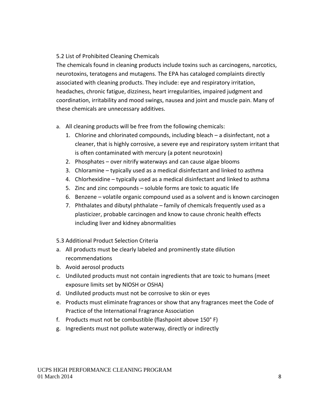## 5.2 List of Prohibited Cleaning Chemicals

The chemicals found in cleaning products include toxins such as carcinogens, narcotics, neurotoxins, teratogens and mutagens. The EPA has cataloged complaints directly associated with cleaning products. They include: eye and respiratory irritation, headaches, chronic fatigue, dizziness, heart irregularities, impaired judgment and coordination, irritability and mood swings, nausea and joint and muscle pain. Many of these chemicals are unnecessary additives.

- a. All cleaning products will be free from the following chemicals:
	- 1. Chlorine and chlorinated compounds, including bleach a disinfectant, not a cleaner, that is highly corrosive, a severe eye and respiratory system irritant that is often contaminated with mercury (a potent neurotoxin)
	- 2. Phosphates over nitrify waterways and can cause algae blooms
	- 3. Chloramine typically used as a medical disinfectant and linked to asthma
	- 4. Chlorhexidine typically used as a medical disinfectant and linked to asthma
	- 5. Zinc and zinc compounds soluble forms are toxic to aquatic life
	- 6. Benzene volatile organic compound used as a solvent and is known carcinogen
	- 7. Phthalates and dibutyl phthalate family of chemicals frequently used as a plasticizer, probable carcinogen and know to cause chronic health effects including liver and kidney abnormalities
- 5.3 Additional Product Selection Criteria
- a. All products must be clearly labeled and prominently state dilution recommendations
- b. Avoid aerosol products
- c. Undiluted products must not contain ingredients that are toxic to humans (meet exposure limits set by NIOSH or OSHA)
- d. Undiluted products must not be corrosive to skin or eyes
- e. Products must eliminate fragrances or show that any fragrances meet the Code of Practice of the International Fragrance Association
- f. Products must not be combustible (flashpoint above 150° F)
- g. Ingredients must not pollute waterway, directly or indirectly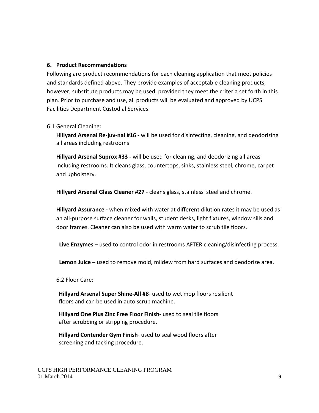#### **6. Product Recommendations**

Following are product recommendations for each cleaning application that meet policies and standards defined above. They provide examples of acceptable cleaning products; however, substitute products may be used, provided they meet the criteria set forth in this plan. Prior to purchase and use, all products will be evaluated and approved by UCPS Facilities Department Custodial Services.

#### 6.1 General Cleaning:

**Hillyard Arsenal Re-juv-nal #16 -** will be used for disinfecting, cleaning, and deodorizing all areas including restrooms

**Hillyard Arsenal Suprox #33 -** will be used for cleaning, and deodorizing all areas including restrooms. It cleans glass, countertops, sinks, stainless steel, chrome, carpet and upholstery.

**Hillyard Arsenal Glass Cleaner #27** - cleans glass, stainless steel and chrome.

**Hillyard Assurance -** when mixed with water at different dilution rates it may be used as an all-purpose surface cleaner for walls, student desks, light fixtures, window sills and door frames. Cleaner can also be used with warm water to scrub tile floors.

**Live Enzymes** – used to control odor in restrooms AFTER cleaning/disinfecting process.

**Lemon Juice –** used to remove mold, mildew from hard surfaces and deodorize area.

6.2 Floor Care:

**Hillyard Arsenal Super Shine-All #8**- used to wet mop floors resilient floors and can be used in auto scrub machine.

**Hillyard One Plus Zinc Free Floor Finish**- used to seal tile floors after scrubbing or stripping procedure.

**Hillyard Contender Gym Finish**- used to seal wood floors after screening and tacking procedure.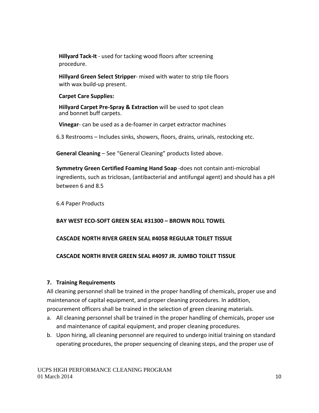**Hillyard Tack-It** - used for tacking wood floors after screening procedure.

**Hillyard Green Select Stripper**- mixed with water to strip tile floors with wax build-up present.

#### **Carpet Care Supplies:**

**Hillyard Carpet Pre-Spray & Extraction** will be used to spot clean and bonnet buff carpets.

**Vinegar**- can be used as a de-foamer in carpet extractor machines

6.3 Restrooms – Includes sinks, showers, floors, drains, urinals, restocking etc.

**General Cleaning** – See "General Cleaning" products listed above.

**Symmetry Green Certified Foaming Hand Soap** -does not contain anti-microbial ingredients, such as triclosan, (antibacterial and antifungal agent) and should has a pH between 6 and 8.5

6.4 Paper Products

## **BAY WEST ECO-SOFT GREEN SEAL #31300 – BROWN ROLL TOWEL**

## **CASCADE NORTH RIVER GREEN SEAL #4058 REGULAR TOILET TISSUE**

## **CASCADE NORTH RIVER GREEN SEAL #4097 JR. JUMBO TOILET TISSUE**

## **7. Training Requirements**

All cleaning personnel shall be trained in the proper handling of chemicals, proper use and maintenance of capital equipment, and proper cleaning procedures. In addition, procurement officers shall be trained in the selection of green cleaning materials.

- a. All cleaning personnel shall be trained in the proper handling of chemicals, proper use and maintenance of capital equipment, and proper cleaning procedures.
- b. Upon hiring, all cleaning personnel are required to undergo initial training on standard operating procedures, the proper sequencing of cleaning steps, and the proper use of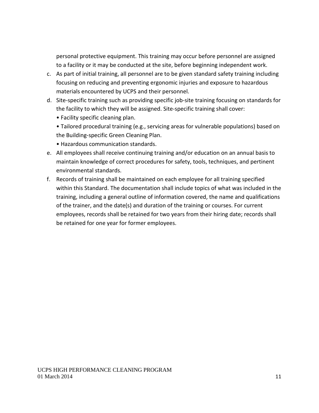personal protective equipment. This training may occur before personnel are assigned to a facility or it may be conducted at the site, before beginning independent work.

- c. As part of initial training, all personnel are to be given standard safety training including focusing on reducing and preventing ergonomic injuries and exposure to hazardous materials encountered by UCPS and their personnel.
- d. Site-specific training such as providing specific job-site training focusing on standards for the facility to which they will be assigned. Site-specific training shall cover:
	- Facility specific cleaning plan.
	- Tailored procedural training (e.g., servicing areas for vulnerable populations) based on the Building-specific Green Cleaning Plan.
	- Hazardous communication standards.
- e. All employees shall receive continuing training and/or education on an annual basis to maintain knowledge of correct procedures for safety, tools, techniques, and pertinent environmental standards.
- f. Records of training shall be maintained on each employee for all training specified within this Standard. The documentation shall include topics of what was included in the training, including a general outline of information covered, the name and qualifications of the trainer, and the date(s) and duration of the training or courses. For current employees, records shall be retained for two years from their hiring date; records shall be retained for one year for former employees.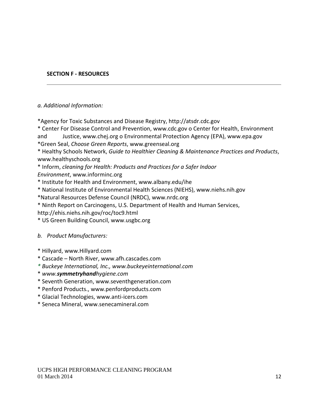## **SECTION F - RESOURCES**

#### *a. Additional Information:*

\*Agency for Toxic Substances and Disease Reg[istry, http://atsdr.cdc.gov](http://atsdr.cdc.gov/)

\* Center For Disease Control and Preven[tion, www.cdc.gov o](http://www.cdc.gov/) Center for Health, Enviro[nment](http://www.chej.org/)  [and Justice, www.chej.org o](http://www.chej.org/) Environmental Protection Agency (EP[A\), www.epa.gov](http://www.epa.gov/)

\*Green Seal, *Choose Green Reports*[, www.greenseal.org](http://www.greenseal.org/)

\* Healthy Schools Network, *Guide to Healthier Cleaning & Maintenance Practices and Products*[,](http://www.healthyschools.org/)  [www.healthyschools.org](http://www.healthyschools.org/)

\* Inform, *cleaning for Health: Products and Practices for a Safer Indoor Environment*[, www.informinc.org](http://www.informinc.org/)

\* Institute for Health and Environ[ment, www.albany.edu/ihe](http://www.albany.edu/ihe)

\* National Institute of Environmental Health Sciences [\(NIEHS\), www.niehs.nih.gov](http://www.niehs.nih.gov/)

\*Natural Resources Defense Council (NR[DC\), www.nrdc.org](http://www.nrdc.org/)

\* Ninth Report on Carcinogens, U.S. Department of Health and Human Services[,](http://ehis.niehs.nih.gov/roc/toc9.html) <http://ehis.niehs.nih.gov/roc/toc9.html>

\* US Green Building Council, [www.usgbc.org](http://www.usgbc.org/)

## *b. Product Manufacturers:*

- \* Hillyard, www.Hillyard.com
- \* Cascade North River, www.afh.cascades.com
- *\* Buckeye International, Inc., www.buckeyeinternational.com*
- \* *www.symmetryhandhygiene.com*
- \* Seventh Ge[neration, www.seventhgeneration.com](http://www.seventhgeneration.com/)
- \* Penford Pro[ducts., www.penfordproducts.com](http://www.penfordproducts.com/)
- \* Glacial Technologie[s, www.anti-icers.com](http://www.anti-icers.com/)
- \* Seneca Min[eral, www.senecamineral.com](http://www.senecamineral.com/)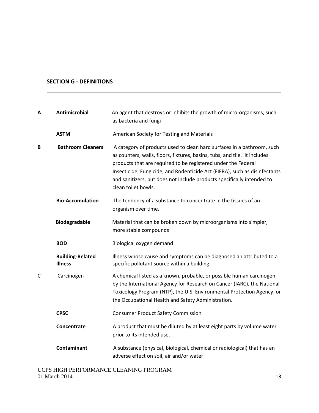## **SECTION G - DEFINITIONS**

| A            | <b>Antimicrobial</b>                      | An agent that destroys or inhibits the growth of micro-organisms, such<br>as bacteria and fungi                                                                                                                                                                                                                                                                                                     |
|--------------|-------------------------------------------|-----------------------------------------------------------------------------------------------------------------------------------------------------------------------------------------------------------------------------------------------------------------------------------------------------------------------------------------------------------------------------------------------------|
|              | <b>ASTM</b>                               | American Society for Testing and Materials                                                                                                                                                                                                                                                                                                                                                          |
| B            | <b>Bathroom Cleaners</b>                  | A category of products used to clean hard surfaces in a bathroom, such<br>as counters, walls, floors, fixtures, basins, tubs, and tile. It includes<br>products that are required to be registered under the Federal<br>Insecticide, Fungicide, and Rodenticide Act (FIFRA), such as disinfectants<br>and sanitizers, but does not include products specifically intended to<br>clean toilet bowls. |
|              | <b>Bio-Accumulation</b>                   | The tendency of a substance to concentrate in the tissues of an<br>organism over time.                                                                                                                                                                                                                                                                                                              |
|              | <b>Biodegradable</b>                      | Material that can be broken down by microorganisms into simpler,<br>more stable compounds                                                                                                                                                                                                                                                                                                           |
|              | <b>BOD</b>                                | Biological oxygen demand                                                                                                                                                                                                                                                                                                                                                                            |
|              | <b>Building-Related</b><br><b>Illness</b> | Illness whose cause and symptoms can be diagnosed an attributed to a<br>specific pollutant source within a building                                                                                                                                                                                                                                                                                 |
| $\mathsf{C}$ | Carcinogen                                | A chemical listed as a known, probable, or possible human carcinogen<br>by the International Agency for Research on Cancer (IARC), the National<br>Toxicology Program (NTP), the U.S. Environmental Protection Agency, or<br>the Occupational Health and Safety Administration.                                                                                                                     |
|              | <b>CPSC</b>                               | <b>Consumer Product Safety Commission</b>                                                                                                                                                                                                                                                                                                                                                           |
|              | <b>Concentrate</b>                        | A product that must be diluted by at least eight parts by volume water<br>prior to its intended use.                                                                                                                                                                                                                                                                                                |
|              | Contaminant                               | A substance (physical, biological, chemical or radiological) that has an<br>adverse effect on soil, air and/or water                                                                                                                                                                                                                                                                                |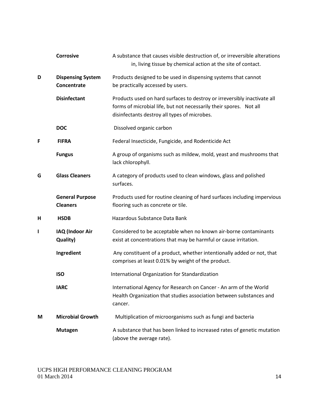|   | <b>Corrosive</b>                          | A substance that causes visible destruction of, or irreversible alterations<br>in, living tissue by chemical action at the site of contact.                                                    |
|---|-------------------------------------------|------------------------------------------------------------------------------------------------------------------------------------------------------------------------------------------------|
| D | <b>Dispensing System</b><br>Concentrate   | Products designed to be used in dispensing systems that cannot<br>be practically accessed by users.                                                                                            |
|   | <b>Disinfectant</b>                       | Products used on hard surfaces to destroy or irreversibly inactivate all<br>forms of microbial life, but not necessarily their spores. Not all<br>disinfectants destroy all types of microbes. |
|   | <b>DOC</b>                                | Dissolved organic carbon                                                                                                                                                                       |
| F | <b>FIFRA</b>                              | Federal Insecticide, Fungicide, and Rodenticide Act                                                                                                                                            |
|   | <b>Fungus</b>                             | A group of organisms such as mildew, mold, yeast and mushrooms that<br>lack chlorophyll.                                                                                                       |
| G | <b>Glass Cleaners</b>                     | A category of products used to clean windows, glass and polished<br>surfaces.                                                                                                                  |
|   | <b>General Purpose</b><br><b>Cleaners</b> | Products used for routine cleaning of hard surfaces including impervious<br>flooring such as concrete or tile.                                                                                 |
| н | <b>HSDB</b>                               | Hazardous Substance Data Bank                                                                                                                                                                  |
| L | IAQ (Indoor Air<br>Quality)               | Considered to be acceptable when no known air-borne contaminants<br>exist at concentrations that may be harmful or cause irritation.                                                           |
|   | Ingredient                                | Any constituent of a product, whether intentionally added or not, that<br>comprises at least 0.01% by weight of the product.                                                                   |
|   | <b>ISO</b>                                | International Organization for Standardization                                                                                                                                                 |
|   | <b>IARC</b>                               | International Agency for Research on Cancer - An arm of the World<br>Health Organization that studies association between substances and<br>cancer.                                            |
| М | <b>Microbial Growth</b>                   | Multiplication of microorganisms such as fungi and bacteria                                                                                                                                    |
|   | <b>Mutagen</b>                            | A substance that has been linked to increased rates of genetic mutation<br>(above the average rate).                                                                                           |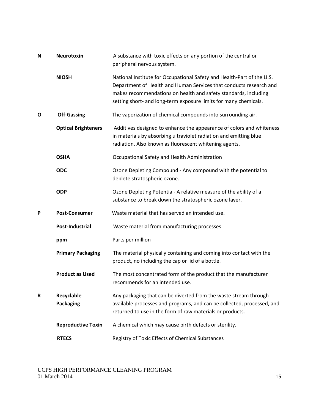| N | <b>Neurotoxin</b>              | A substance with toxic effects on any portion of the central or<br>peripheral nervous system.                                                                                                                                                                                       |
|---|--------------------------------|-------------------------------------------------------------------------------------------------------------------------------------------------------------------------------------------------------------------------------------------------------------------------------------|
|   | <b>NIOSH</b>                   | National Institute for Occupational Safety and Health-Part of the U.S.<br>Department of Health and Human Services that conducts research and<br>makes recommendations on health and safety standards, including<br>setting short- and long-term exposure limits for many chemicals. |
| O | <b>Off-Gassing</b>             | The vaporization of chemical compounds into surrounding air.                                                                                                                                                                                                                        |
|   | <b>Optical Brighteners</b>     | Additives designed to enhance the appearance of colors and whiteness<br>in materials by absorbing ultraviolet radiation and emitting blue<br>radiation. Also known as fluorescent whitening agents.                                                                                 |
|   | <b>OSHA</b>                    | Occupational Safety and Health Administration                                                                                                                                                                                                                                       |
|   | <b>ODC</b>                     | Ozone Depleting Compound - Any compound with the potential to<br>deplete stratospheric ozone.                                                                                                                                                                                       |
|   | <b>ODP</b>                     | Ozone Depleting Potential-A relative measure of the ability of a<br>substance to break down the stratospheric ozone layer.                                                                                                                                                          |
| P | <b>Post-Consumer</b>           | Waste material that has served an intended use.                                                                                                                                                                                                                                     |
|   | <b>Post-Industrial</b>         | Waste material from manufacturing processes.                                                                                                                                                                                                                                        |
|   | ppm                            | Parts per million                                                                                                                                                                                                                                                                   |
|   | <b>Primary Packaging</b>       | The material physically containing and coming into contact with the<br>product, no including the cap or lid of a bottle.                                                                                                                                                            |
|   | <b>Product as Used</b>         | The most concentrated form of the product that the manufacturer<br>recommends for an intended use.                                                                                                                                                                                  |
| R | Recyclable<br><b>Packaging</b> | Any packaging that can be diverted from the waste stream through<br>available processes and programs, and can be collected, processed, and<br>returned to use in the form of raw materials or products.                                                                             |
|   | <b>Reproductive Toxin</b>      | A chemical which may cause birth defects or sterility.                                                                                                                                                                                                                              |
|   | <b>RTECS</b>                   | Registry of Toxic Effects of Chemical Substances                                                                                                                                                                                                                                    |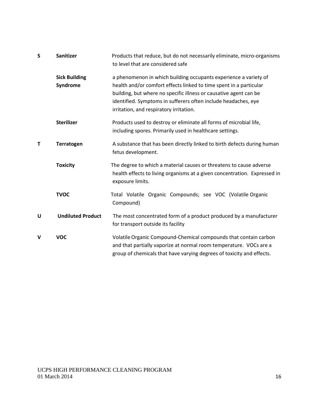| S | <b>Sanitizer</b>                 | Products that reduce, but do not necessarily eliminate, micro-organisms<br>to level that are considered safe                                                                                                                                                                                                             |
|---|----------------------------------|--------------------------------------------------------------------------------------------------------------------------------------------------------------------------------------------------------------------------------------------------------------------------------------------------------------------------|
|   | <b>Sick Building</b><br>Syndrome | a phenomenon in which building occupants experience a variety of<br>health and/or comfort effects linked to time spent in a particular<br>building, but where no specific illness or causative agent can be<br>identified. Symptoms in sufferers often include headaches, eye<br>irritation, and respiratory irritation. |
|   | <b>Sterilizer</b>                | Products used to destroy or eliminate all forms of microbial life,<br>including spores. Primarily used in healthcare settings.                                                                                                                                                                                           |
| т | Terratogen                       | A substance that has been directly linked to birth defects during human<br>fetus development.                                                                                                                                                                                                                            |
|   | <b>Toxicity</b>                  | The degree to which a material causes or threatens to cause adverse<br>health effects to living organisms at a given concentration. Expressed in<br>exposure limits.                                                                                                                                                     |
|   | <b>TVOC</b>                      | Total Volatile Organic Compounds; see VOC (Volatile Organic<br>Compound)                                                                                                                                                                                                                                                 |
| U | <b>Undiluted Product</b>         | The most concentrated form of a product produced by a manufacturer<br>for transport outside its facility                                                                                                                                                                                                                 |
| v | <b>VOC</b>                       | Volatile Organic Compound-Chemical compounds that contain carbon<br>and that partially vaporize at normal room temperature. VOCs are a<br>group of chemicals that have varying degrees of toxicity and effects.                                                                                                          |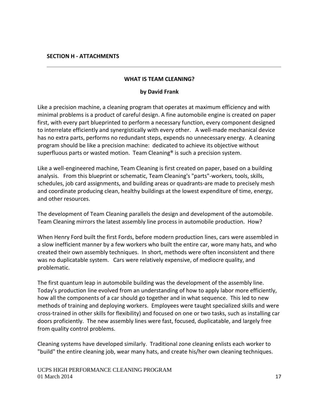#### **WHAT IS TEAM CLEANING?**

#### **by David Frank**

Like a precision machine, a cleaning program that operates at maximum efficiency and with minimal problems is a product of careful design. A fine automobile engine is created on paper first, with every part blueprinted to perform a necessary function, every component designed to interrelate efficiently and synergistically with every other. A well-made mechanical device has no extra parts, performs no redundant steps, expends no unnecessary energy. A cleaning program should be like a precision machine: dedicated to achieve its objective without superfluous parts or wasted motion. Team Cleaning<sup>®</sup> is such a precision system.

Like a well-engineered machine, Team Cleaning is first created on paper, based on a building analysis. From this blueprint or schematic, Team Cleaning's "parts"-workers, tools, skills, schedules, job card assignments, and building areas or quadrants-are made to precisely mesh and coordinate producing clean, healthy buildings at the lowest expenditure of time, energy, and other resources.

The development of Team Cleaning parallels the design and development of the automobile. Team Cleaning mirrors the latest assembly line process in automobile production. How?

When Henry Ford built the first Fords, before modern production lines, cars were assembled in a slow inefficient manner by a few workers who built the entire car, wore many hats, and who created their own assembly techniques. In short, methods were often inconsistent and there was no duplicatable system. Cars were relatively expensive, of mediocre quality, and problematic.

The first quantum leap in automobile building was the development of the assembly line. Today's production line evolved from an understanding of how to apply labor more efficiently, how all the components of a car should go together and in what sequence. This led to new methods of training and deploying workers. Employees were taught specialized skills and were cross-trained in other skills for flexibility) and focused on one or two tasks, such as installing car doors proficiently. The new assembly lines were fast, focused, duplicatable, and largely free from quality control problems.

Cleaning systems have developed similarly. Traditional zone cleaning enlists each worker to "build" the entire cleaning job, wear many hats, and create his/her own cleaning techniques.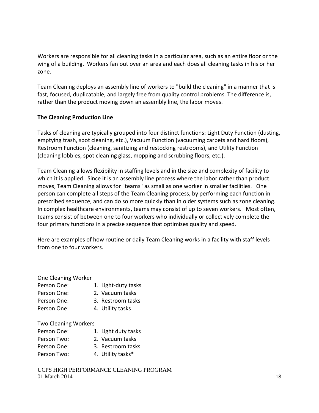Workers are responsible for all cleaning tasks in a particular area, such as an entire floor or the wing of a building. Workers fan out over an area and each does all cleaning tasks in his or her zone.

Team Cleaning deploys an assembly line of workers to "build the cleaning" in a manner that is fast, focused, duplicatable, and largely free from quality control problems. The difference is, rather than the product moving down an assembly line, the labor moves.

## **The Cleaning Production Line**

Tasks of cleaning are typically grouped into four distinct functions: Light Duty Function (dusting, emptying trash, spot cleaning, etc.), Vacuum Function (vacuuming carpets and hard floors), Restroom Function (cleaning, sanitizing and restocking restrooms), and Utility Function (cleaning lobbies, spot cleaning glass, mopping and scrubbing floors, etc.).

Team Cleaning allows flexibility in staffing levels and in the size and complexity of facility to which it is applied. Since it is an assembly line process where the labor rather than product moves, Team Cleaning allows for "teams" as small as one worker in smaller facilities. One person can complete all steps of the Team Cleaning process, by performing each function in prescribed sequence, and can do so more quickly than in older systems such as zone cleaning. In complex healthcare environments, teams may consist of up to seven workers. Most often, teams consist of between one to four workers who individually or collectively complete the four primary functions in a precise sequence that optimizes quality and speed.

Here are examples of how routine or daily Team Cleaning works in a facility with staff levels from one to four workers.

One Cleaning Worker

Person One: 1. Light-duty tasks Person One: 2. Vacuum tasks Person One: 3. Restroom tasks Person One: 4. Utility tasks

Two Cleaning Workers

| Person One: | 1. Light duty tasks |
|-------------|---------------------|
| Person Two: | 2. Vacuum tasks     |
| Person One: | 3. Restroom tasks   |
| Person Two: | 4. Utility tasks*   |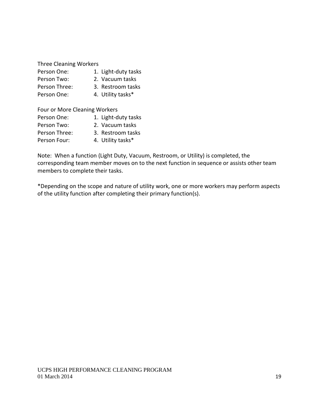Three Cleaning Workers

| Person One:   | 1. Light-duty tasks |
|---------------|---------------------|
| Person Two:   | 2. Vacuum tasks     |
| Person Three: | 3. Restroom tasks   |
| Person One:   | 4. Utility tasks*   |

| Four or More Cleaning Workers |  |                     |  |  |  |  |  |  |  |
|-------------------------------|--|---------------------|--|--|--|--|--|--|--|
| Person One:                   |  | 1. Light-duty tasks |  |  |  |  |  |  |  |
| Person Two:                   |  | 2. Vacuum tasks     |  |  |  |  |  |  |  |
| Person Three:                 |  | 3. Restroom tasks   |  |  |  |  |  |  |  |
| Person Four:                  |  | 4. Utility tasks*   |  |  |  |  |  |  |  |

Note: When a function (Light Duty, Vacuum, Restroom, or Utility) is completed, the corresponding team member moves on to the next function in sequence or assists other team members to complete their tasks.

\*Depending on the scope and nature of utility work, one or more workers may perform aspects of the utility function after completing their primary function(s).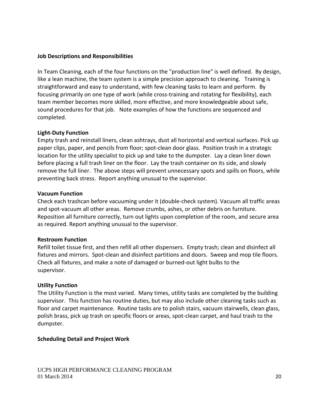#### **Job Descriptions and Responsibilities**

In Team Cleaning, each of the four functions on the "production line" is well defined. By design, like a lean machine, the team system is a simple precision approach to cleaning. Training is straightforward and easy to understand, with few cleaning tasks to learn and perform. By focusing primarily on one type of work (while cross-training and rotating for flexibility), each team member becomes more skilled, more effective, and more knowledgeable about safe, sound procedures for that job. Note examples of how the functions are sequenced and completed.

#### **Light-Duty Function**

Empty trash and reinstall liners, clean ashtrays, dust all horizontal and vertical surfaces. Pick up paper clips, paper, and pencils from floor; spot-clean door glass. Position trash in a strategic location for the utility specialist to pick up and take to the dumpster. Lay a clean liner down before placing a full trash liner on the floor. Lay the trash container on its side, and slowly remove the full liner. The above steps will prevent unnecessary spots and spills on floors, while preventing back stress. Report anything unusual to the supervisor.

#### **Vacuum Function**

Check each trashcan before vacuuming under it (double-check system). Vacuum all traffic areas and spot-vacuum all other areas. Remove crumbs, ashes, or other debris on furniture. Reposition all furniture correctly, turn out lights upon completion of the room, and secure area as required. Report anything unusual to the supervisor.

#### **Restroom Function**

Refill toilet tissue first, and then refill all other dispensers. Empty trash; clean and disinfect all fixtures and mirrors. Spot-clean and disinfect partitions and doors. Sweep and mop tile floors. Check all fixtures, and make a note of damaged or burned-out light bulbs to the supervisor.

#### **Utility Function**

The Utility Function is the most varied. Many times, utility tasks are completed by the building supervisor. This function has routine duties, but may also include other cleaning tasks such as floor and carpet maintenance. Routine tasks are to polish stairs, vacuum stairwells, clean glass, polish brass, pick up trash on specific floors or areas, spot-clean carpet, and haul trash to the dumpster.

#### **Scheduling Detail and Project Work**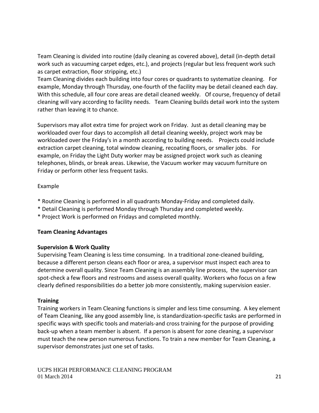Team Cleaning is divided into routine (daily cleaning as covered above), detail (in-depth detail work such as vacuuming carpet edges, etc.), and projects (regular but less frequent work such as carpet extraction, floor stripping, etc.)

Team Cleaning divides each building into four cores or quadrants to systematize cleaning. For example, Monday through Thursday, one-fourth of the facility may be detail cleaned each day. With this schedule, all four core areas are detail cleaned weekly. Of course, frequency of detail cleaning will vary according to facility needs. Team Cleaning builds detail work into the system rather than leaving it to chance.

Supervisors may allot extra time for project work on Friday. Just as detail cleaning may be workloaded over four days to accomplish all detail cleaning weekly, project work may be workloaded over the Friday's in a month according to building needs. Projects could include extraction carpet cleaning, total window cleaning, recoating floors, or smaller jobs. For example, on Friday the Light Duty worker may be assigned project work such as cleaning telephones, blinds, or break areas. Likewise, the Vacuum worker may vacuum furniture on Friday or perform other less frequent tasks.

## Example

- \* Routine Cleaning is performed in all quadrants Monday-Friday and completed daily.
- \* Detail Cleaning is performed Monday through Thursday and completed weekly.
- \* Project Work is performed on Fridays and completed monthly.

## **Team Cleaning Advantages**

## **Supervision & Work Quality**

Supervising Team Cleaning is less time consuming. In a traditional zone-cleaned building, because a different person cleans each floor or area, a supervisor must inspect each area to determine overall quality. Since Team Cleaning is an assembly line process, the supervisor can spot-check a few floors and restrooms and assess overall quality. Workers who focus on a few clearly defined responsibilities do a better job more consistently, making supervision easier.

## **Training**

Training workers in Team Cleaning functions is simpler and less time consuming. A key element of Team Cleaning, like any good assembly line, is standardization-specific tasks are performed in specific ways with specific tools and materials-and cross training for the purpose of providing back-up when a team member is absent. If a person is absent for zone cleaning, a supervisor must teach the new person numerous functions. To train a new member for Team Cleaning, a supervisor demonstrates just one set of tasks.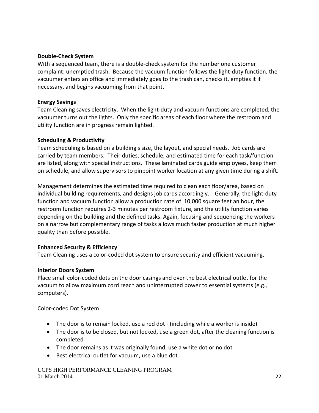## **Double-Check System**

With a sequenced team, there is a double-check system for the number one customer complaint: unemptied trash. Because the vacuum function follows the light-duty function, the vacuumer enters an office and immediately goes to the trash can, checks it, empties it if necessary, and begins vacuuming from that point.

## **Energy Savings**

Team Cleaning saves electricity. When the light-duty and vacuum functions are completed, the vacuumer turns out the lights. Only the specific areas of each floor where the restroom and utility function are in progress remain lighted.

## **Scheduling & Productivity**

Team scheduling is based on a building's size, the layout, and special needs. Job cards are carried by team members. Their duties, schedule, and estimated time for each task/function are listed, along with special instructions. These laminated cards guide employees, keep them on schedule, and allow supervisors to pinpoint worker location at any given time during a shift.

Management determines the estimated time required to clean each floor/area, based on individual building requirements, and designs job cards accordingly. Generally, the light-duty function and vacuum function allow a production rate of 10,000 square feet an hour, the restroom function requires 2-3 minutes per restroom fixture, and the utility function varies depending on the building and the defined tasks. Again, focusing and sequencing the workers on a narrow but complementary range of tasks allows much faster production at much higher quality than before possible.

## **Enhanced Security & Efficiency**

Team Cleaning uses a color-coded dot system to ensure security and efficient vacuuming.

#### **Interior Doors System**

Place small color-coded dots on the door casings and over the best electrical outlet for the vacuum to allow maximum cord reach and uninterrupted power to essential systems (e.g., computers).

Color-coded Dot System

- The door is to remain locked, use a red dot (including while a worker is inside)
- The door is to be closed, but not locked, use a green dot, after the cleaning function is completed
- The door remains as it was originally found, use a white dot or no dot
- Best electrical outlet for vacuum, use a blue dot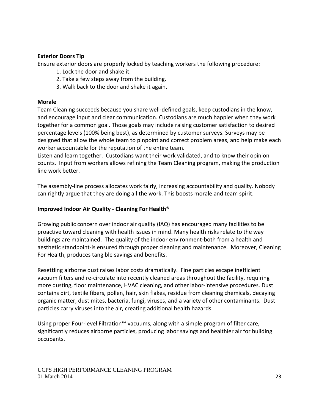## **Exterior Doors Tip**

Ensure exterior doors are properly locked by teaching workers the following procedure:

- 1. Lock the door and shake it.
- 2. Take a few steps away from the building.
- 3. Walk back to the door and shake it again.

## **Morale**

Team Cleaning succeeds because you share well-defined goals, keep custodians in the know, and encourage input and clear communication. Custodians are much happier when they work together for a common goal. Those goals may include raising customer satisfaction to desired percentage levels (100% being best), as determined by customer surveys. Surveys may be designed that allow the whole team to pinpoint and correct problem areas, and help make each worker accountable for the reputation of the entire team.

Listen and learn together. Custodians want their work validated, and to know their opinion counts. Input from workers allows refining the Team Cleaning program, making the production line work better.

The assembly-line process allocates work fairly, increasing accountability and quality. Nobody can rightly argue that they are doing all the work. This boosts morale and team spirit.

## **Improved Indoor Air Quality - Cleaning For Health®**

Growing public concern over indoor air quality (IAQ) has encouraged many facilities to be proactive toward cleaning with health issues in mind. Many health risks relate to the way buildings are maintained. The quality of the indoor environment-both from a health and aesthetic standpoint-is ensured through proper cleaning and maintenance. Moreover, Cleaning For Health, produces tangible savings and benefits.

Resettling airborne dust raises labor costs dramatically. Fine particles escape inefficient vacuum filters and re-circulate into recently cleaned areas throughout the facility, requiring more dusting, floor maintenance, HVAC cleaning, and other labor-intensive procedures. Dust contains dirt, textile fibers, pollen, hair, skin flakes, residue from cleaning chemicals, decaying organic matter, dust mites, bacteria, fungi, viruses, and a variety of other contaminants. Dust particles carry viruses into the air, creating additional health hazards.

Using proper Four-level Filtration™ vacuums, along with a simple program of filter care, significantly reduces airborne particles, producing labor savings and healthier air for building occupants.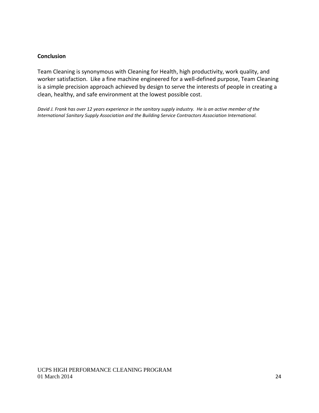#### **Conclusion**

Team Cleaning is synonymous with Cleaning for Health, high productivity, work quality, and worker satisfaction. Like a fine machine engineered for a well-defined purpose, Team Cleaning is a simple precision approach achieved by design to serve the interests of people in creating a clean, healthy, and safe environment at the lowest possible cost.

*David J. Frank has over 12 years experience in the sanitary supply industry. He is an active member of the International Sanitary Supply Association and the Building Service Contractors Association International.*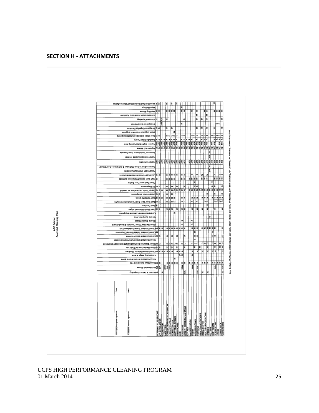| z<br>rgnilisfi oqiW<br>≩∣≩<br>3333<br>š<br>≩∣≩<br>S S Met Mop Floors<br>3333<br>š<br>3<br>s<br>Vacuum/Spot Clean Fabric Furniture<br>A/R<br>۵<br>۰l<br>۵<br>۵<br>۰<br>۰<br>D Ascnnu Csubeting<br>S<br>ه ه<br>۰<br>Sweep/Mop Stains/Ramps<br>۵<br>o<br>۵<br>$\circ$<br>۰<br>$\circ$<br>o<br>onsimu <sup>q</sup> esinsgeOinstrigian800<br>z<br>Stock Organize Custodial Supplies<br>ooooo<br> a a a a<br> 0 0 0<br>$\Omega$<br>D D D sos Clean Glast/Doors/Walls/Carpeting<br>a a<br>ە<br>⋖<br>⋖<br>«<br>⋖<br>⋖<br>ď<br>¢<br>⋖<br>$\leqslant$ $\leqslant$<br>ৰ∣ৰ∣ৰ∣ৰ<br>∢<br>anoola deinitefinish floors<br>A/R<br>Æ<br>K<br>इंइड<br>A/R<br>A/R<br><b>A/R</b><br>A/R<br><b>A/R</b><br>R<br>Į<br>Į<br>S & S antace Light Bulbe/Celling Tiles<br>A/R)<br><b>AR</b><br>A/R<br>$\overline{\mathbf{R}}$<br>ş<br>A/R<br>ş<br>$\circ$<br>alalalalalajalaja<br>o<br>abnuoti mort ands@ideatT asvoms!<br>A/R<br>Removes SnowiApplies lce Melt<br><u>इह इ</u> इ इ इ इ इ इ इ इ इ इ<br>$\frac{1}{2} \frac{1}{2} \frac{1}{2} \frac{1}{2} \frac{1}{2} \frac{1}{2} \frac{1}{2} \frac{1}{2} \frac{1}{2} \frac{1}{2} \frac{1}{2} \frac{1}{2} \frac{1}{2} \frac{1}{2} \frac{1}{2} \frac{1}{2} \frac{1}{2} \frac{1}{2} \frac{1}{2} \frac{1}{2} \frac{1}{2} \frac{1}{2} \frac{1}{2} \frac{1}{2} \frac{1}{2} \frac{1}{2} \frac{1}{2} \frac{1}{2} \frac{1}{2} \frac{1}{2} \frac{1}{2} \frac{$<br>š<br>Removes Debris from Walkways & Entrances - Leaf Blower<br>SA<br>Power wash Welkways/Vicanopies<br> a a a a <br>$\circ$<br>$\overline{a}$<br> a <br>B<br>š<br>۵l<br>$ \mathbf{o}  \mathbf{o}$<br>O O Low Dust Verticalitiorizontal Surfaces<br>≩ ≩<br>3333<br>3333<br>333<br>3333<br>Sisgh Dust Vertical/Horizontal Surfaces<br>Ł<br>š<br>Flush Restroom Floor Drains<br>$\overline{\circ}$<br>o<br>۱a<br>o<br>lo<br>a<br>OO EIII Disponsous<br>ها<br>۰<br>999999999999<br> a a a a b <br>o<br>$\bullet$<br>o o o ouse _trash, replace liner as needed<br>la<br>o<br>$\overline{\phantom{a}}$<br>۱۵<br>la<br>U Empty Pencil Sharpeners<br>۵<br>s s s s<br>E<br>s s s<br>s s<br>$\mathbf{z} \,   \, \mathbf{z}$<br><b>E SOUN Vents/Air Ducts</b><br>z<br>まき<br>l s<br>ь<br>0000<br>0000<br>$\overline{\circ}\circ$<br>$\overline{\phantom{a}}$<br>o<br>a a<br>o o o pret Mop/ Spot Mop Floors/Remove Scuffs<br>š<br>≨joner Enuiture<br>≩∣≋<br>š<br>3<br>Ł<br>¥<br>B<br>医多区<br>Ł<br>š<br>S S pust Bilnds/Window Ledges<br>la<br>finamqiup3 laiboteuO anistriisMansalO<br>š<br>Cleans Dumpster Area<br>o<br>a<br>Cleans Display Cases<br>$\overline{a}$<br>Clean/Sanitize Water Fountain & Mouth Guard<br>z<br>피피<br>E<br>3 3 3 3 3 3<br>×<br>E E E Roanibisintest Trash Containers/Lids<br>333333<br>×<br>o<br>o<br>enoenogelOlalsnivUletelioT soehnielOlnsolO O<br>$\overline{\mathbf{a}}$<br> a a<br>۱a<br>۵<br>۵<br>ە<br>o<br>closuclassics Sinks/Counters<br>۵<br>Clean/Disinfect Showers/Partitions/Benches<br>$\mathbf{a}   \mathbf{a}$<br>$\circ$<br>$\alpha$<br>ە ە ە<br>$\Omega$<br> a a a a <br>a<br>a o clean/ Disinfect Doortnobs/Light Switches/Telephones<br>≅ ≅<br>Ł<br>š<br>E<br>z<br>š<br>Ł<br>š<br>š<br><b>SCiean Marker boards/Chalk tray</b><br>E<br>$\leq$<br><∣<∣<∣∢<br>∢<br>k<br>¢<br>⋖<br>4<br>¢<br>×<br>⋖<br>⋖∣<br>¢<br>Clean Interior/Exterior Windows<br> a a<br>b<br>Clean Entry Ways & Mats<br>c<br>Clean Custodial Rooms/Floors Sinks<br>≩ ≩<br>$5333$<br>多多<br>ままま<br>33333<br>S S Clean Cove Base/Cove Tile<br>$\geq$<br>330W<br>3XW<br>3.XVV<br><b>ZEW</b><br>5/4<br>SIA<br>ã<br>anool <sup>3</sup> daimu8lflu8 일일<br>SIA<br>SIA<br>¢<br>ĸ<br>d<br>Bonnet & Extract Carpeting<br>Æ<br>ď<br>å<br><b>Date</b><br><b>AREER TRAINING CLASSROOM</b><br><b>IEALTH ROOM (Nurses Office)</b><br><b>Vincipal/Designee Signature</b><br>CADEMIC CLASSROOMS<br>untodial Services Signaturo<br><b>AINTENANCE ROOMS</b><br>ULTI-PURPOSE ROOM<br>ROOM<br><b>CASHONS AREAS</b><br><b>THLETIC AREAS</b><br><b>DCKER ROOMS</b><br><b>AUNDRY ROOM</b><br><b>DIA CENTER</b><br>CIENCE LAB<br>AGE BACK<br>DRKROOMS<br><b>ESTROOMS</b><br><b>AUDITORUM</b><br><b>JELD HOUSE</b><br>COMPUTER<br><b>JUSTODIAL</b><br><b>AFETERIA</b><br>ALL WAYS | seidaT& anisri⊃idee0 trebut8 toehnielOleqIW S S |  |  | ≩ | š | š |     |  |              |  |               |  |                                  | š |   |  |
|---------------------------------------------------------------------------------------------------------------------------------------------------------------------------------------------------------------------------------------------------------------------------------------------------------------------------------------------------------------------------------------------------------------------------------------------------------------------------------------------------------------------------------------------------------------------------------------------------------------------------------------------------------------------------------------------------------------------------------------------------------------------------------------------------------------------------------------------------------------------------------------------------------------------------------------------------------------------------------------------------------------------------------------------------------------------------------------------------------------------------------------------------------------------------------------------------------------------------------------------------------------------------------------------------------------------------------------------------------------------------------------------------------------------------------------------------------------------------------------------------------------------------------------------------------------------------------------------------------------------------------------------------------------------------------------------------------------------------------------------------------------------------------------------------------------------------------------------------------------------------------------------------------------------------------------------------------------------------------------------------------------------------------------------------------------------------------------------------------------------------------------------------------------------------------------------------------------------------------------------------------------------------------------------------------------------------------------------------------------------------------------------------------------------------------------------------------------------------------------------------------------------------------------------------------------------------------------------------------------------------------------------------------------------------------------------------------------------------------------------------------------------------------------------------------------------------------------------------------------------------------------------------------------------------------------------------------------------------------------------------------------------------------------------------------------------------------------------------------------------------------------------------------------------------------------------------------------------------------------------------------------------------------------------------------------------------------------------------------------------------------------------------------------------------------------------------------------------------------------------------------------------------------------------------------------------------------------------------------------------------------------------------------------------------------------------------------------------------------------------------------------------------------------------------------------------------------------------------------------------------------------------------------------------------------------------------------------------------------------------------------------------------------------------------------------------------------------------------------------------------------------|-------------------------------------------------|--|--|---|---|---|-----|--|--------------|--|---------------|--|----------------------------------|---|---|--|
|                                                                                                                                                                                                                                                                                                                                                                                                                                                                                                                                                                                                                                                                                                                                                                                                                                                                                                                                                                                                                                                                                                                                                                                                                                                                                                                                                                                                                                                                                                                                                                                                                                                                                                                                                                                                                                                                                                                                                                                                                                                                                                                                                                                                                                                                                                                                                                                                                                                                                                                                                                                                                                                                                                                                                                                                                                                                                                                                                                                                                                                                                                                                                                                                                                                                                                                                                                                                                                                                                                                                                                                                                                                                                                                                                                                                                                                                                                                                                                                                                                                                                                                                       |                                                 |  |  |   |   |   |     |  |              |  |               |  |                                  |   |   |  |
|                                                                                                                                                                                                                                                                                                                                                                                                                                                                                                                                                                                                                                                                                                                                                                                                                                                                                                                                                                                                                                                                                                                                                                                                                                                                                                                                                                                                                                                                                                                                                                                                                                                                                                                                                                                                                                                                                                                                                                                                                                                                                                                                                                                                                                                                                                                                                                                                                                                                                                                                                                                                                                                                                                                                                                                                                                                                                                                                                                                                                                                                                                                                                                                                                                                                                                                                                                                                                                                                                                                                                                                                                                                                                                                                                                                                                                                                                                                                                                                                                                                                                                                                       |                                                 |  |  |   |   |   |     |  |              |  |               |  |                                  |   |   |  |
|                                                                                                                                                                                                                                                                                                                                                                                                                                                                                                                                                                                                                                                                                                                                                                                                                                                                                                                                                                                                                                                                                                                                                                                                                                                                                                                                                                                                                                                                                                                                                                                                                                                                                                                                                                                                                                                                                                                                                                                                                                                                                                                                                                                                                                                                                                                                                                                                                                                                                                                                                                                                                                                                                                                                                                                                                                                                                                                                                                                                                                                                                                                                                                                                                                                                                                                                                                                                                                                                                                                                                                                                                                                                                                                                                                                                                                                                                                                                                                                                                                                                                                                                       |                                                 |  |  |   |   |   |     |  |              |  |               |  |                                  |   |   |  |
|                                                                                                                                                                                                                                                                                                                                                                                                                                                                                                                                                                                                                                                                                                                                                                                                                                                                                                                                                                                                                                                                                                                                                                                                                                                                                                                                                                                                                                                                                                                                                                                                                                                                                                                                                                                                                                                                                                                                                                                                                                                                                                                                                                                                                                                                                                                                                                                                                                                                                                                                                                                                                                                                                                                                                                                                                                                                                                                                                                                                                                                                                                                                                                                                                                                                                                                                                                                                                                                                                                                                                                                                                                                                                                                                                                                                                                                                                                                                                                                                                                                                                                                                       |                                                 |  |  |   |   |   |     |  |              |  |               |  |                                  |   |   |  |
|                                                                                                                                                                                                                                                                                                                                                                                                                                                                                                                                                                                                                                                                                                                                                                                                                                                                                                                                                                                                                                                                                                                                                                                                                                                                                                                                                                                                                                                                                                                                                                                                                                                                                                                                                                                                                                                                                                                                                                                                                                                                                                                                                                                                                                                                                                                                                                                                                                                                                                                                                                                                                                                                                                                                                                                                                                                                                                                                                                                                                                                                                                                                                                                                                                                                                                                                                                                                                                                                                                                                                                                                                                                                                                                                                                                                                                                                                                                                                                                                                                                                                                                                       |                                                 |  |  |   |   |   |     |  |              |  |               |  |                                  |   |   |  |
|                                                                                                                                                                                                                                                                                                                                                                                                                                                                                                                                                                                                                                                                                                                                                                                                                                                                                                                                                                                                                                                                                                                                                                                                                                                                                                                                                                                                                                                                                                                                                                                                                                                                                                                                                                                                                                                                                                                                                                                                                                                                                                                                                                                                                                                                                                                                                                                                                                                                                                                                                                                                                                                                                                                                                                                                                                                                                                                                                                                                                                                                                                                                                                                                                                                                                                                                                                                                                                                                                                                                                                                                                                                                                                                                                                                                                                                                                                                                                                                                                                                                                                                                       |                                                 |  |  |   |   |   |     |  |              |  |               |  |                                  |   |   |  |
|                                                                                                                                                                                                                                                                                                                                                                                                                                                                                                                                                                                                                                                                                                                                                                                                                                                                                                                                                                                                                                                                                                                                                                                                                                                                                                                                                                                                                                                                                                                                                                                                                                                                                                                                                                                                                                                                                                                                                                                                                                                                                                                                                                                                                                                                                                                                                                                                                                                                                                                                                                                                                                                                                                                                                                                                                                                                                                                                                                                                                                                                                                                                                                                                                                                                                                                                                                                                                                                                                                                                                                                                                                                                                                                                                                                                                                                                                                                                                                                                                                                                                                                                       |                                                 |  |  |   |   |   |     |  |              |  |               |  |                                  |   |   |  |
|                                                                                                                                                                                                                                                                                                                                                                                                                                                                                                                                                                                                                                                                                                                                                                                                                                                                                                                                                                                                                                                                                                                                                                                                                                                                                                                                                                                                                                                                                                                                                                                                                                                                                                                                                                                                                                                                                                                                                                                                                                                                                                                                                                                                                                                                                                                                                                                                                                                                                                                                                                                                                                                                                                                                                                                                                                                                                                                                                                                                                                                                                                                                                                                                                                                                                                                                                                                                                                                                                                                                                                                                                                                                                                                                                                                                                                                                                                                                                                                                                                                                                                                                       |                                                 |  |  |   |   |   |     |  |              |  |               |  |                                  |   |   |  |
|                                                                                                                                                                                                                                                                                                                                                                                                                                                                                                                                                                                                                                                                                                                                                                                                                                                                                                                                                                                                                                                                                                                                                                                                                                                                                                                                                                                                                                                                                                                                                                                                                                                                                                                                                                                                                                                                                                                                                                                                                                                                                                                                                                                                                                                                                                                                                                                                                                                                                                                                                                                                                                                                                                                                                                                                                                                                                                                                                                                                                                                                                                                                                                                                                                                                                                                                                                                                                                                                                                                                                                                                                                                                                                                                                                                                                                                                                                                                                                                                                                                                                                                                       |                                                 |  |  |   |   |   |     |  |              |  |               |  |                                  |   |   |  |
|                                                                                                                                                                                                                                                                                                                                                                                                                                                                                                                                                                                                                                                                                                                                                                                                                                                                                                                                                                                                                                                                                                                                                                                                                                                                                                                                                                                                                                                                                                                                                                                                                                                                                                                                                                                                                                                                                                                                                                                                                                                                                                                                                                                                                                                                                                                                                                                                                                                                                                                                                                                                                                                                                                                                                                                                                                                                                                                                                                                                                                                                                                                                                                                                                                                                                                                                                                                                                                                                                                                                                                                                                                                                                                                                                                                                                                                                                                                                                                                                                                                                                                                                       |                                                 |  |  |   |   |   |     |  |              |  |               |  |                                  |   |   |  |
|                                                                                                                                                                                                                                                                                                                                                                                                                                                                                                                                                                                                                                                                                                                                                                                                                                                                                                                                                                                                                                                                                                                                                                                                                                                                                                                                                                                                                                                                                                                                                                                                                                                                                                                                                                                                                                                                                                                                                                                                                                                                                                                                                                                                                                                                                                                                                                                                                                                                                                                                                                                                                                                                                                                                                                                                                                                                                                                                                                                                                                                                                                                                                                                                                                                                                                                                                                                                                                                                                                                                                                                                                                                                                                                                                                                                                                                                                                                                                                                                                                                                                                                                       |                                                 |  |  |   |   |   |     |  |              |  |               |  |                                  |   |   |  |
|                                                                                                                                                                                                                                                                                                                                                                                                                                                                                                                                                                                                                                                                                                                                                                                                                                                                                                                                                                                                                                                                                                                                                                                                                                                                                                                                                                                                                                                                                                                                                                                                                                                                                                                                                                                                                                                                                                                                                                                                                                                                                                                                                                                                                                                                                                                                                                                                                                                                                                                                                                                                                                                                                                                                                                                                                                                                                                                                                                                                                                                                                                                                                                                                                                                                                                                                                                                                                                                                                                                                                                                                                                                                                                                                                                                                                                                                                                                                                                                                                                                                                                                                       |                                                 |  |  |   |   |   |     |  |              |  |               |  |                                  |   |   |  |
|                                                                                                                                                                                                                                                                                                                                                                                                                                                                                                                                                                                                                                                                                                                                                                                                                                                                                                                                                                                                                                                                                                                                                                                                                                                                                                                                                                                                                                                                                                                                                                                                                                                                                                                                                                                                                                                                                                                                                                                                                                                                                                                                                                                                                                                                                                                                                                                                                                                                                                                                                                                                                                                                                                                                                                                                                                                                                                                                                                                                                                                                                                                                                                                                                                                                                                                                                                                                                                                                                                                                                                                                                                                                                                                                                                                                                                                                                                                                                                                                                                                                                                                                       |                                                 |  |  |   |   |   |     |  |              |  |               |  |                                  |   |   |  |
|                                                                                                                                                                                                                                                                                                                                                                                                                                                                                                                                                                                                                                                                                                                                                                                                                                                                                                                                                                                                                                                                                                                                                                                                                                                                                                                                                                                                                                                                                                                                                                                                                                                                                                                                                                                                                                                                                                                                                                                                                                                                                                                                                                                                                                                                                                                                                                                                                                                                                                                                                                                                                                                                                                                                                                                                                                                                                                                                                                                                                                                                                                                                                                                                                                                                                                                                                                                                                                                                                                                                                                                                                                                                                                                                                                                                                                                                                                                                                                                                                                                                                                                                       |                                                 |  |  |   |   |   |     |  |              |  |               |  |                                  |   |   |  |
|                                                                                                                                                                                                                                                                                                                                                                                                                                                                                                                                                                                                                                                                                                                                                                                                                                                                                                                                                                                                                                                                                                                                                                                                                                                                                                                                                                                                                                                                                                                                                                                                                                                                                                                                                                                                                                                                                                                                                                                                                                                                                                                                                                                                                                                                                                                                                                                                                                                                                                                                                                                                                                                                                                                                                                                                                                                                                                                                                                                                                                                                                                                                                                                                                                                                                                                                                                                                                                                                                                                                                                                                                                                                                                                                                                                                                                                                                                                                                                                                                                                                                                                                       |                                                 |  |  |   |   |   |     |  |              |  |               |  |                                  |   |   |  |
|                                                                                                                                                                                                                                                                                                                                                                                                                                                                                                                                                                                                                                                                                                                                                                                                                                                                                                                                                                                                                                                                                                                                                                                                                                                                                                                                                                                                                                                                                                                                                                                                                                                                                                                                                                                                                                                                                                                                                                                                                                                                                                                                                                                                                                                                                                                                                                                                                                                                                                                                                                                                                                                                                                                                                                                                                                                                                                                                                                                                                                                                                                                                                                                                                                                                                                                                                                                                                                                                                                                                                                                                                                                                                                                                                                                                                                                                                                                                                                                                                                                                                                                                       |                                                 |  |  |   |   |   |     |  |              |  |               |  |                                  |   |   |  |
|                                                                                                                                                                                                                                                                                                                                                                                                                                                                                                                                                                                                                                                                                                                                                                                                                                                                                                                                                                                                                                                                                                                                                                                                                                                                                                                                                                                                                                                                                                                                                                                                                                                                                                                                                                                                                                                                                                                                                                                                                                                                                                                                                                                                                                                                                                                                                                                                                                                                                                                                                                                                                                                                                                                                                                                                                                                                                                                                                                                                                                                                                                                                                                                                                                                                                                                                                                                                                                                                                                                                                                                                                                                                                                                                                                                                                                                                                                                                                                                                                                                                                                                                       |                                                 |  |  |   |   |   |     |  |              |  |               |  |                                  |   |   |  |
|                                                                                                                                                                                                                                                                                                                                                                                                                                                                                                                                                                                                                                                                                                                                                                                                                                                                                                                                                                                                                                                                                                                                                                                                                                                                                                                                                                                                                                                                                                                                                                                                                                                                                                                                                                                                                                                                                                                                                                                                                                                                                                                                                                                                                                                                                                                                                                                                                                                                                                                                                                                                                                                                                                                                                                                                                                                                                                                                                                                                                                                                                                                                                                                                                                                                                                                                                                                                                                                                                                                                                                                                                                                                                                                                                                                                                                                                                                                                                                                                                                                                                                                                       |                                                 |  |  |   |   |   |     |  |              |  |               |  |                                  |   |   |  |
|                                                                                                                                                                                                                                                                                                                                                                                                                                                                                                                                                                                                                                                                                                                                                                                                                                                                                                                                                                                                                                                                                                                                                                                                                                                                                                                                                                                                                                                                                                                                                                                                                                                                                                                                                                                                                                                                                                                                                                                                                                                                                                                                                                                                                                                                                                                                                                                                                                                                                                                                                                                                                                                                                                                                                                                                                                                                                                                                                                                                                                                                                                                                                                                                                                                                                                                                                                                                                                                                                                                                                                                                                                                                                                                                                                                                                                                                                                                                                                                                                                                                                                                                       |                                                 |  |  |   |   |   |     |  |              |  |               |  |                                  |   |   |  |
|                                                                                                                                                                                                                                                                                                                                                                                                                                                                                                                                                                                                                                                                                                                                                                                                                                                                                                                                                                                                                                                                                                                                                                                                                                                                                                                                                                                                                                                                                                                                                                                                                                                                                                                                                                                                                                                                                                                                                                                                                                                                                                                                                                                                                                                                                                                                                                                                                                                                                                                                                                                                                                                                                                                                                                                                                                                                                                                                                                                                                                                                                                                                                                                                                                                                                                                                                                                                                                                                                                                                                                                                                                                                                                                                                                                                                                                                                                                                                                                                                                                                                                                                       |                                                 |  |  |   |   |   |     |  |              |  |               |  |                                  |   |   |  |
|                                                                                                                                                                                                                                                                                                                                                                                                                                                                                                                                                                                                                                                                                                                                                                                                                                                                                                                                                                                                                                                                                                                                                                                                                                                                                                                                                                                                                                                                                                                                                                                                                                                                                                                                                                                                                                                                                                                                                                                                                                                                                                                                                                                                                                                                                                                                                                                                                                                                                                                                                                                                                                                                                                                                                                                                                                                                                                                                                                                                                                                                                                                                                                                                                                                                                                                                                                                                                                                                                                                                                                                                                                                                                                                                                                                                                                                                                                                                                                                                                                                                                                                                       |                                                 |  |  |   |   |   |     |  |              |  |               |  |                                  |   |   |  |
|                                                                                                                                                                                                                                                                                                                                                                                                                                                                                                                                                                                                                                                                                                                                                                                                                                                                                                                                                                                                                                                                                                                                                                                                                                                                                                                                                                                                                                                                                                                                                                                                                                                                                                                                                                                                                                                                                                                                                                                                                                                                                                                                                                                                                                                                                                                                                                                                                                                                                                                                                                                                                                                                                                                                                                                                                                                                                                                                                                                                                                                                                                                                                                                                                                                                                                                                                                                                                                                                                                                                                                                                                                                                                                                                                                                                                                                                                                                                                                                                                                                                                                                                       |                                                 |  |  |   |   |   |     |  |              |  |               |  |                                  |   |   |  |
|                                                                                                                                                                                                                                                                                                                                                                                                                                                                                                                                                                                                                                                                                                                                                                                                                                                                                                                                                                                                                                                                                                                                                                                                                                                                                                                                                                                                                                                                                                                                                                                                                                                                                                                                                                                                                                                                                                                                                                                                                                                                                                                                                                                                                                                                                                                                                                                                                                                                                                                                                                                                                                                                                                                                                                                                                                                                                                                                                                                                                                                                                                                                                                                                                                                                                                                                                                                                                                                                                                                                                                                                                                                                                                                                                                                                                                                                                                                                                                                                                                                                                                                                       |                                                 |  |  |   |   |   |     |  |              |  |               |  |                                  |   |   |  |
|                                                                                                                                                                                                                                                                                                                                                                                                                                                                                                                                                                                                                                                                                                                                                                                                                                                                                                                                                                                                                                                                                                                                                                                                                                                                                                                                                                                                                                                                                                                                                                                                                                                                                                                                                                                                                                                                                                                                                                                                                                                                                                                                                                                                                                                                                                                                                                                                                                                                                                                                                                                                                                                                                                                                                                                                                                                                                                                                                                                                                                                                                                                                                                                                                                                                                                                                                                                                                                                                                                                                                                                                                                                                                                                                                                                                                                                                                                                                                                                                                                                                                                                                       |                                                 |  |  |   |   |   |     |  |              |  |               |  |                                  |   |   |  |
|                                                                                                                                                                                                                                                                                                                                                                                                                                                                                                                                                                                                                                                                                                                                                                                                                                                                                                                                                                                                                                                                                                                                                                                                                                                                                                                                                                                                                                                                                                                                                                                                                                                                                                                                                                                                                                                                                                                                                                                                                                                                                                                                                                                                                                                                                                                                                                                                                                                                                                                                                                                                                                                                                                                                                                                                                                                                                                                                                                                                                                                                                                                                                                                                                                                                                                                                                                                                                                                                                                                                                                                                                                                                                                                                                                                                                                                                                                                                                                                                                                                                                                                                       |                                                 |  |  |   |   |   |     |  |              |  |               |  |                                  |   |   |  |
|                                                                                                                                                                                                                                                                                                                                                                                                                                                                                                                                                                                                                                                                                                                                                                                                                                                                                                                                                                                                                                                                                                                                                                                                                                                                                                                                                                                                                                                                                                                                                                                                                                                                                                                                                                                                                                                                                                                                                                                                                                                                                                                                                                                                                                                                                                                                                                                                                                                                                                                                                                                                                                                                                                                                                                                                                                                                                                                                                                                                                                                                                                                                                                                                                                                                                                                                                                                                                                                                                                                                                                                                                                                                                                                                                                                                                                                                                                                                                                                                                                                                                                                                       |                                                 |  |  |   |   |   |     |  |              |  |               |  |                                  |   |   |  |
|                                                                                                                                                                                                                                                                                                                                                                                                                                                                                                                                                                                                                                                                                                                                                                                                                                                                                                                                                                                                                                                                                                                                                                                                                                                                                                                                                                                                                                                                                                                                                                                                                                                                                                                                                                                                                                                                                                                                                                                                                                                                                                                                                                                                                                                                                                                                                                                                                                                                                                                                                                                                                                                                                                                                                                                                                                                                                                                                                                                                                                                                                                                                                                                                                                                                                                                                                                                                                                                                                                                                                                                                                                                                                                                                                                                                                                                                                                                                                                                                                                                                                                                                       |                                                 |  |  |   |   |   |     |  |              |  |               |  |                                  |   |   |  |
|                                                                                                                                                                                                                                                                                                                                                                                                                                                                                                                                                                                                                                                                                                                                                                                                                                                                                                                                                                                                                                                                                                                                                                                                                                                                                                                                                                                                                                                                                                                                                                                                                                                                                                                                                                                                                                                                                                                                                                                                                                                                                                                                                                                                                                                                                                                                                                                                                                                                                                                                                                                                                                                                                                                                                                                                                                                                                                                                                                                                                                                                                                                                                                                                                                                                                                                                                                                                                                                                                                                                                                                                                                                                                                                                                                                                                                                                                                                                                                                                                                                                                                                                       |                                                 |  |  |   |   |   |     |  |              |  |               |  |                                  |   |   |  |
|                                                                                                                                                                                                                                                                                                                                                                                                                                                                                                                                                                                                                                                                                                                                                                                                                                                                                                                                                                                                                                                                                                                                                                                                                                                                                                                                                                                                                                                                                                                                                                                                                                                                                                                                                                                                                                                                                                                                                                                                                                                                                                                                                                                                                                                                                                                                                                                                                                                                                                                                                                                                                                                                                                                                                                                                                                                                                                                                                                                                                                                                                                                                                                                                                                                                                                                                                                                                                                                                                                                                                                                                                                                                                                                                                                                                                                                                                                                                                                                                                                                                                                                                       |                                                 |  |  |   |   |   |     |  |              |  |               |  |                                  |   |   |  |
|                                                                                                                                                                                                                                                                                                                                                                                                                                                                                                                                                                                                                                                                                                                                                                                                                                                                                                                                                                                                                                                                                                                                                                                                                                                                                                                                                                                                                                                                                                                                                                                                                                                                                                                                                                                                                                                                                                                                                                                                                                                                                                                                                                                                                                                                                                                                                                                                                                                                                                                                                                                                                                                                                                                                                                                                                                                                                                                                                                                                                                                                                                                                                                                                                                                                                                                                                                                                                                                                                                                                                                                                                                                                                                                                                                                                                                                                                                                                                                                                                                                                                                                                       |                                                 |  |  |   |   |   |     |  |              |  |               |  |                                  |   |   |  |
|                                                                                                                                                                                                                                                                                                                                                                                                                                                                                                                                                                                                                                                                                                                                                                                                                                                                                                                                                                                                                                                                                                                                                                                                                                                                                                                                                                                                                                                                                                                                                                                                                                                                                                                                                                                                                                                                                                                                                                                                                                                                                                                                                                                                                                                                                                                                                                                                                                                                                                                                                                                                                                                                                                                                                                                                                                                                                                                                                                                                                                                                                                                                                                                                                                                                                                                                                                                                                                                                                                                                                                                                                                                                                                                                                                                                                                                                                                                                                                                                                                                                                                                                       |                                                 |  |  |   |   |   |     |  |              |  |               |  |                                  |   |   |  |
|                                                                                                                                                                                                                                                                                                                                                                                                                                                                                                                                                                                                                                                                                                                                                                                                                                                                                                                                                                                                                                                                                                                                                                                                                                                                                                                                                                                                                                                                                                                                                                                                                                                                                                                                                                                                                                                                                                                                                                                                                                                                                                                                                                                                                                                                                                                                                                                                                                                                                                                                                                                                                                                                                                                                                                                                                                                                                                                                                                                                                                                                                                                                                                                                                                                                                                                                                                                                                                                                                                                                                                                                                                                                                                                                                                                                                                                                                                                                                                                                                                                                                                                                       |                                                 |  |  |   |   |   |     |  |              |  |               |  |                                  |   |   |  |
|                                                                                                                                                                                                                                                                                                                                                                                                                                                                                                                                                                                                                                                                                                                                                                                                                                                                                                                                                                                                                                                                                                                                                                                                                                                                                                                                                                                                                                                                                                                                                                                                                                                                                                                                                                                                                                                                                                                                                                                                                                                                                                                                                                                                                                                                                                                                                                                                                                                                                                                                                                                                                                                                                                                                                                                                                                                                                                                                                                                                                                                                                                                                                                                                                                                                                                                                                                                                                                                                                                                                                                                                                                                                                                                                                                                                                                                                                                                                                                                                                                                                                                                                       |                                                 |  |  |   |   |   |     |  |              |  |               |  |                                  |   |   |  |
|                                                                                                                                                                                                                                                                                                                                                                                                                                                                                                                                                                                                                                                                                                                                                                                                                                                                                                                                                                                                                                                                                                                                                                                                                                                                                                                                                                                                                                                                                                                                                                                                                                                                                                                                                                                                                                                                                                                                                                                                                                                                                                                                                                                                                                                                                                                                                                                                                                                                                                                                                                                                                                                                                                                                                                                                                                                                                                                                                                                                                                                                                                                                                                                                                                                                                                                                                                                                                                                                                                                                                                                                                                                                                                                                                                                                                                                                                                                                                                                                                                                                                                                                       |                                                 |  |  |   |   |   |     |  |              |  |               |  |                                  |   |   |  |
|                                                                                                                                                                                                                                                                                                                                                                                                                                                                                                                                                                                                                                                                                                                                                                                                                                                                                                                                                                                                                                                                                                                                                                                                                                                                                                                                                                                                                                                                                                                                                                                                                                                                                                                                                                                                                                                                                                                                                                                                                                                                                                                                                                                                                                                                                                                                                                                                                                                                                                                                                                                                                                                                                                                                                                                                                                                                                                                                                                                                                                                                                                                                                                                                                                                                                                                                                                                                                                                                                                                                                                                                                                                                                                                                                                                                                                                                                                                                                                                                                                                                                                                                       |                                                 |  |  |   |   |   |     |  |              |  |               |  |                                  |   |   |  |
|                                                                                                                                                                                                                                                                                                                                                                                                                                                                                                                                                                                                                                                                                                                                                                                                                                                                                                                                                                                                                                                                                                                                                                                                                                                                                                                                                                                                                                                                                                                                                                                                                                                                                                                                                                                                                                                                                                                                                                                                                                                                                                                                                                                                                                                                                                                                                                                                                                                                                                                                                                                                                                                                                                                                                                                                                                                                                                                                                                                                                                                                                                                                                                                                                                                                                                                                                                                                                                                                                                                                                                                                                                                                                                                                                                                                                                                                                                                                                                                                                                                                                                                                       |                                                 |  |  |   |   |   |     |  |              |  |               |  |                                  |   |   |  |
|                                                                                                                                                                                                                                                                                                                                                                                                                                                                                                                                                                                                                                                                                                                                                                                                                                                                                                                                                                                                                                                                                                                                                                                                                                                                                                                                                                                                                                                                                                                                                                                                                                                                                                                                                                                                                                                                                                                                                                                                                                                                                                                                                                                                                                                                                                                                                                                                                                                                                                                                                                                                                                                                                                                                                                                                                                                                                                                                                                                                                                                                                                                                                                                                                                                                                                                                                                                                                                                                                                                                                                                                                                                                                                                                                                                                                                                                                                                                                                                                                                                                                                                                       |                                                 |  |  |   |   |   |     |  |              |  |               |  |                                  |   |   |  |
|                                                                                                                                                                                                                                                                                                                                                                                                                                                                                                                                                                                                                                                                                                                                                                                                                                                                                                                                                                                                                                                                                                                                                                                                                                                                                                                                                                                                                                                                                                                                                                                                                                                                                                                                                                                                                                                                                                                                                                                                                                                                                                                                                                                                                                                                                                                                                                                                                                                                                                                                                                                                                                                                                                                                                                                                                                                                                                                                                                                                                                                                                                                                                                                                                                                                                                                                                                                                                                                                                                                                                                                                                                                                                                                                                                                                                                                                                                                                                                                                                                                                                                                                       |                                                 |  |  |   |   |   |     |  |              |  |               |  |                                  |   |   |  |
|                                                                                                                                                                                                                                                                                                                                                                                                                                                                                                                                                                                                                                                                                                                                                                                                                                                                                                                                                                                                                                                                                                                                                                                                                                                                                                                                                                                                                                                                                                                                                                                                                                                                                                                                                                                                                                                                                                                                                                                                                                                                                                                                                                                                                                                                                                                                                                                                                                                                                                                                                                                                                                                                                                                                                                                                                                                                                                                                                                                                                                                                                                                                                                                                                                                                                                                                                                                                                                                                                                                                                                                                                                                                                                                                                                                                                                                                                                                                                                                                                                                                                                                                       |                                                 |  |  |   |   |   |     |  |              |  |               |  |                                  |   |   |  |
|                                                                                                                                                                                                                                                                                                                                                                                                                                                                                                                                                                                                                                                                                                                                                                                                                                                                                                                                                                                                                                                                                                                                                                                                                                                                                                                                                                                                                                                                                                                                                                                                                                                                                                                                                                                                                                                                                                                                                                                                                                                                                                                                                                                                                                                                                                                                                                                                                                                                                                                                                                                                                                                                                                                                                                                                                                                                                                                                                                                                                                                                                                                                                                                                                                                                                                                                                                                                                                                                                                                                                                                                                                                                                                                                                                                                                                                                                                                                                                                                                                                                                                                                       |                                                 |  |  |   |   |   |     |  |              |  |               |  |                                  |   |   |  |
|                                                                                                                                                                                                                                                                                                                                                                                                                                                                                                                                                                                                                                                                                                                                                                                                                                                                                                                                                                                                                                                                                                                                                                                                                                                                                                                                                                                                                                                                                                                                                                                                                                                                                                                                                                                                                                                                                                                                                                                                                                                                                                                                                                                                                                                                                                                                                                                                                                                                                                                                                                                                                                                                                                                                                                                                                                                                                                                                                                                                                                                                                                                                                                                                                                                                                                                                                                                                                                                                                                                                                                                                                                                                                                                                                                                                                                                                                                                                                                                                                                                                                                                                       |                                                 |  |  |   |   |   |     |  |              |  |               |  |                                  |   |   |  |
|                                                                                                                                                                                                                                                                                                                                                                                                                                                                                                                                                                                                                                                                                                                                                                                                                                                                                                                                                                                                                                                                                                                                                                                                                                                                                                                                                                                                                                                                                                                                                                                                                                                                                                                                                                                                                                                                                                                                                                                                                                                                                                                                                                                                                                                                                                                                                                                                                                                                                                                                                                                                                                                                                                                                                                                                                                                                                                                                                                                                                                                                                                                                                                                                                                                                                                                                                                                                                                                                                                                                                                                                                                                                                                                                                                                                                                                                                                                                                                                                                                                                                                                                       |                                                 |  |  |   |   |   |     |  |              |  |               |  |                                  |   |   |  |
|                                                                                                                                                                                                                                                                                                                                                                                                                                                                                                                                                                                                                                                                                                                                                                                                                                                                                                                                                                                                                                                                                                                                                                                                                                                                                                                                                                                                                                                                                                                                                                                                                                                                                                                                                                                                                                                                                                                                                                                                                                                                                                                                                                                                                                                                                                                                                                                                                                                                                                                                                                                                                                                                                                                                                                                                                                                                                                                                                                                                                                                                                                                                                                                                                                                                                                                                                                                                                                                                                                                                                                                                                                                                                                                                                                                                                                                                                                                                                                                                                                                                                                                                       |                                                 |  |  |   |   |   |     |  |              |  |               |  |                                  |   |   |  |
|                                                                                                                                                                                                                                                                                                                                                                                                                                                                                                                                                                                                                                                                                                                                                                                                                                                                                                                                                                                                                                                                                                                                                                                                                                                                                                                                                                                                                                                                                                                                                                                                                                                                                                                                                                                                                                                                                                                                                                                                                                                                                                                                                                                                                                                                                                                                                                                                                                                                                                                                                                                                                                                                                                                                                                                                                                                                                                                                                                                                                                                                                                                                                                                                                                                                                                                                                                                                                                                                                                                                                                                                                                                                                                                                                                                                                                                                                                                                                                                                                                                                                                                                       |                                                 |  |  |   |   |   |     |  |              |  |               |  |                                  |   |   |  |
|                                                                                                                                                                                                                                                                                                                                                                                                                                                                                                                                                                                                                                                                                                                                                                                                                                                                                                                                                                                                                                                                                                                                                                                                                                                                                                                                                                                                                                                                                                                                                                                                                                                                                                                                                                                                                                                                                                                                                                                                                                                                                                                                                                                                                                                                                                                                                                                                                                                                                                                                                                                                                                                                                                                                                                                                                                                                                                                                                                                                                                                                                                                                                                                                                                                                                                                                                                                                                                                                                                                                                                                                                                                                                                                                                                                                                                                                                                                                                                                                                                                                                                                                       |                                                 |  |  |   |   |   |     |  |              |  |               |  |                                  |   |   |  |
|                                                                                                                                                                                                                                                                                                                                                                                                                                                                                                                                                                                                                                                                                                                                                                                                                                                                                                                                                                                                                                                                                                                                                                                                                                                                                                                                                                                                                                                                                                                                                                                                                                                                                                                                                                                                                                                                                                                                                                                                                                                                                                                                                                                                                                                                                                                                                                                                                                                                                                                                                                                                                                                                                                                                                                                                                                                                                                                                                                                                                                                                                                                                                                                                                                                                                                                                                                                                                                                                                                                                                                                                                                                                                                                                                                                                                                                                                                                                                                                                                                                                                                                                       |                                                 |  |  |   |   |   | NAT |  | <b>TCHEN</b> |  | <b>DUNGES</b> |  | <b>IFFICES</b><br><b>JOISIDE</b> |   | ă |  |

ABC School<br>Custodial Cleaning Plan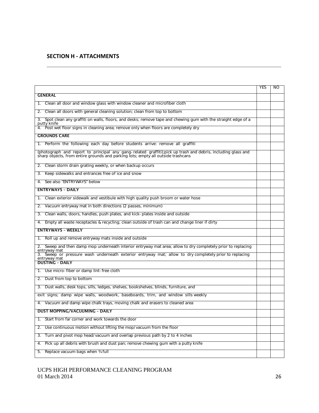#### **SECTION H - ATTACHMENTS**

|                                                                                                                                                                                                  | <b>YES</b> | NO |
|--------------------------------------------------------------------------------------------------------------------------------------------------------------------------------------------------|------------|----|
| <b>GENERAL</b>                                                                                                                                                                                   |            |    |
| 1. Clean all door and window glass with window cleaner and microfiber cloth                                                                                                                      |            |    |
| 2. Clean all doors with general cleaning solution; clean from top to bottom                                                                                                                      |            |    |
| Spot clean any graffiti on walls, floors, and desks; remove tape and chewing gum with the straight edge of a<br>3.<br>putty knife                                                                |            |    |
| 4. Post wet floor signs in cleaning area; remove only when floors are completely dry                                                                                                             |            |    |
| <b>GROUNDS CARE</b>                                                                                                                                                                              |            |    |
| 1. Perform the following each day before students arrive: remove all graffiti                                                                                                                    |            |    |
| (photograph and report to principal any gang-related graffiti);pick up trash and debris, including glass and<br>sharp objects, from entire grounds and parking lots; empty all outside trashcans |            |    |
| Clean storm drain grating weekly, or when backup occurs<br>2.                                                                                                                                    |            |    |
| Keep sidewalks and entrances free of ice and snow<br>3.                                                                                                                                          |            |    |
| See also "ENTRYWAYS" below<br>4.                                                                                                                                                                 |            |    |
| <b>ENTRYWAYS - DAILY</b>                                                                                                                                                                         |            |    |
| 1. Clean exterior sidewalk and vestibule with high quality push broom or water hose                                                                                                              |            |    |
| Vacuum entryway mat in both directions (2 passes, minimum)<br>2.                                                                                                                                 |            |    |
| 3. Clean walls, doors, handles, push plates, and kick-plates inside and outside                                                                                                                  |            |    |
| Empty all waste receptacles & recycling; clean outside of trash can and change liner if dirty<br>4.                                                                                              |            |    |
| <b>ENTRYWAYS - WEEKLY</b>                                                                                                                                                                        |            |    |
| 1. Roll up and remove entryway mats inside and outside                                                                                                                                           |            |    |
| 2. Sweep and then damp mop underneath interior entryway mat area; allow to dry completely prior to replacing<br>entryway mat                                                                     |            |    |
| 3. Sweep or pressure wash underneath exterior entryway mat; allow to dry completely prior to replacing<br>entryway mat                                                                           |            |    |
| <b>DUSTING - DAILY</b>                                                                                                                                                                           |            |    |
| 1. Use micro-fiber or damp lint-free cloth                                                                                                                                                       |            |    |
| 2. Dust from top to bottom                                                                                                                                                                       |            |    |
| 3. Dust walls, desk tops, sills, ledges, shelves, bookshelves, blinds, furniture, and                                                                                                            |            |    |
| exit signs; damp wipe walls, woodwork, baseboards, trim, and window sills weekly                                                                                                                 |            |    |
| 4. Vacuum and damp wipe chalk trays, moving chalk and erasers to cleaned area                                                                                                                    |            |    |
| <b>DUST MOPPING/VACUUMING - DAILY</b>                                                                                                                                                            |            |    |
| Start from far corner and work towards the door<br>1.                                                                                                                                            |            |    |
| Use continuous motion without lifting the mop/vacuum from the floor<br>2.                                                                                                                        |            |    |
| Turn and pivot mop head/vacuum and overlap previous path by 2 to 4 inches<br>3.                                                                                                                  |            |    |
| Pick up all debris with brush and dust pan; remove chewing gum with a putty knife<br>4.                                                                                                          |            |    |
| Replace vacuum bags when 34 full<br>5.                                                                                                                                                           |            |    |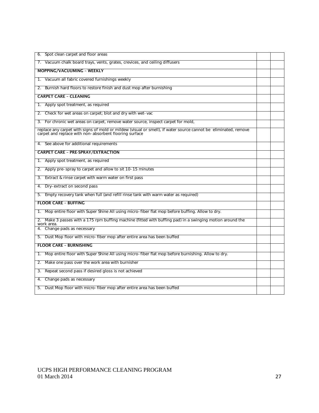| 6. Spot clean carpet and floor areas                                                                                                                                      |  |
|---------------------------------------------------------------------------------------------------------------------------------------------------------------------------|--|
| 7. Vacuum chalk board trays, vents, grates, crevices, and ceiling diffusers                                                                                               |  |
| <b>MOPPING/VACUUMING - WEEKLY</b>                                                                                                                                         |  |
| Vacuum all fabric covered furnishings weekly<br>1.                                                                                                                        |  |
| Burnish hard floors to restore finish and dust mop after burnishing<br>2.                                                                                                 |  |
| <b>CARPET CARE - CLEANING</b>                                                                                                                                             |  |
| 1. Apply spot treatment, as required                                                                                                                                      |  |
| Check for wet areas on carpet; blot and dry with wet-vac<br>2.                                                                                                            |  |
| For chronic wet areas on carpet, remove water source, inspect carpet for mold,<br>3.                                                                                      |  |
| replace any carpet with signs of mold or mildew (visual or smell), if water source cannot be eliminated, remove<br>carpet and replace with non-absorbent flooring surface |  |
| 4. See above for additional requirements                                                                                                                                  |  |
| <b>CARPET CARE - PRE-SPRAY/EXTRACTION</b>                                                                                                                                 |  |
| Apply spot treatment, as required<br>1.                                                                                                                                   |  |
| Apply pre-spray to carpet and allow to sit 10-15 minutes<br>2.                                                                                                            |  |
| Extract & rinse carpet with warm water on first pass<br>3.                                                                                                                |  |
| Dry-extract on second pass<br>4.                                                                                                                                          |  |
| Empty recovery tank when full (and refill rinse tank with warm water as required)<br>5.                                                                                   |  |
| <b>FLOOR CARE - BUFFING</b>                                                                                                                                               |  |
| 1. Mop entire floor with Super Shine All using micro-fiber flat mop before buffing. Allow to dry.                                                                         |  |
| 2. Make 3 passes with a 175 rpm buffing machine (fitted with buffing pad) in a swinging motion around the<br>work area.                                                   |  |
| 4. Change pads as necessary                                                                                                                                               |  |
| 5. Dust Mop floor with micro-fiber mop after entire area has been buffed                                                                                                  |  |
| <b>FLOOR CARE - BURNISHING</b>                                                                                                                                            |  |
| Mop entire floor with Super Shine All using micro-fiber flat mop before burnishing. Allow to dry.<br>1.                                                                   |  |
| Make one pass over the work area with burnisher<br>2.                                                                                                                     |  |
| Repeat second pass if desired gloss is not achieved<br>3.                                                                                                                 |  |
| Change pads as necessary<br>4.                                                                                                                                            |  |
| Dust Mop floor with micro-fiber mop after entire area has been buffed<br>5.                                                                                               |  |
|                                                                                                                                                                           |  |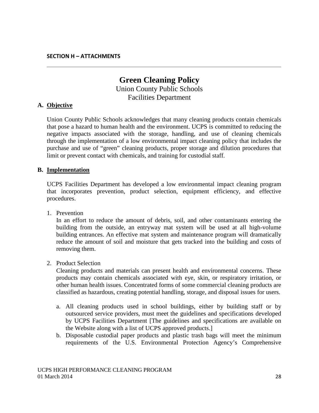# **Green Cleaning Policy** Union County Public Schools Facilities Department

## **A. Objective**

Union County Public Schools acknowledges that many cleaning products contain chemicals that pose a hazard to human health and the environment. UCPS is committed to reducing the negative impacts associated with the storage, handling, and use of cleaning chemicals through the implementation of a low environmental impact cleaning policy that includes the purchase and use of "green" cleaning products, proper storage and dilution procedures that limit or prevent contact with chemicals, and training for custodial staff.

#### **B. Implementation**

UCPS Facilities Department has developed a low environmental impact cleaning program that incorporates prevention, product selection, equipment efficiency, and effective procedures.

1. Prevention

In an effort to reduce the amount of debris, soil, and other contaminants entering the building from the outside, an entryway mat system will be used at all high-volume building entrances. An effective mat system and maintenance program will dramatically reduce the amount of soil and moisture that gets tracked into the building and costs of removing them.

2. Product Selection

Cleaning products and materials can present health and environmental concerns. These products may contain chemicals associated with eye, skin, or respiratory irritation, or other human health issues. Concentrated forms of some commercial cleaning products are classified as hazardous, creating potential handling, storage, and disposal issues for users.

- a. All cleaning products used in school buildings, either by building staff or by outsourced service providers, must meet the guidelines and specifications developed by UCPS Facilities Department [The guidelines and specifications are available on the Website along with a list of UCPS approved products.]
- b. Disposable custodial paper products and plastic trash bags will meet the minimum requirements of the U.S. Environmental Protection Agency's Comprehensive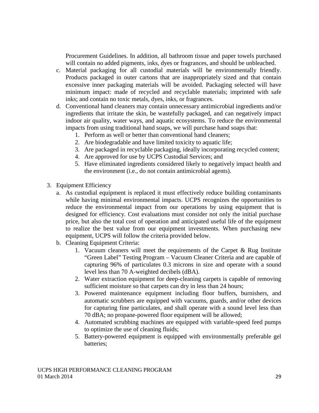Procurement Guidelines. In addition, all bathroom tissue and paper towels purchased will contain no added pigments, inks, dyes or fragrances, and should be unbleached.

- c. Material packaging for all custodial materials will be environmentally friendly. Products packaged in outer cartons that are inappropriately sized and that contain excessive inner packaging materials will be avoided. Packaging selected will have minimum impact: made of recycled and recyclable materials; imprinted with safe inks; and contain no toxic metals, dyes, inks, or fragrances.
- d. Conventional hand cleaners may contain unnecessary antimicrobial ingredients and/or ingredients that irritate the skin, be wastefully packaged, and can negatively impact indoor air quality, water ways, and aquatic ecosystems. To reduce the environmental impacts from using traditional hand soaps, we will purchase hand soaps that:
	- 1. Perform as well or better than conventional hand cleaners;
	- 2. Are biodegradable and have limited toxicity to aquatic life;
	- 3. Are packaged in recyclable packaging, ideally incorporating recycled content;
	- 4. Are approved for use by UCPS Custodial Services; and
	- 5. Have eliminated ingredients considered likely to negatively impact health and the environment (i.e., do not contain antimicrobial agents).
- 3. Equipment Efficiency
	- a. As custodial equipment is replaced it must effectively reduce building contaminants while having minimal environmental impacts. UCPS recognizes the opportunities to reduce the environmental impact from our operations by using equipment that is designed for efficiency. Cost evaluations must consider not only the initial purchase price, but also the total cost of operation and anticipated useful life of the equipment to realize the best value from our equipment investments. When purchasing new equipment, UCPS will follow the criteria provided below.
	- b. Cleaning Equipment Criteria:
		- 1. Vacuum cleaners will meet the requirements of the Carpet & Rug Institute "Green Label" Testing Program – Vacuum Cleaner Criteria and are capable of capturing 96% of particulates 0.3 microns in size and operate with a sound level less than 70 A-weighted decibels (dBA).
		- 2. Water extraction equipment for deep-cleaning carpets is capable of removing sufficient moisture so that carpets can dry in less than 24 hours;
		- 3. Powered maintenance equipment including floor buffers, burnishers, and automatic scrubbers are equipped with vacuums, guards, and/or other devices for capturing fine particulates, and shall operate with a sound level less than 70 dBA; no propane-powered floor equipment will be allowed;
		- 4. Automated scrubbing machines are equipped with variable-speed feed pumps to optimize the use of cleaning fluids;
		- 5. Battery-powered equipment is equipped with environmentally preferable gel batteries;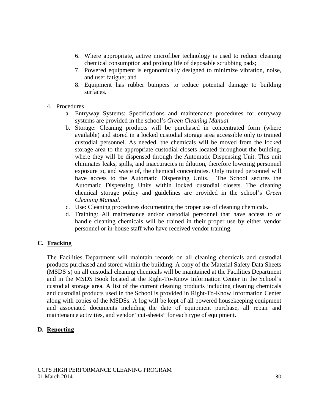- 6. Where appropriate, active microfiber technology is used to reduce cleaning chemical consumption and prolong life of deposable scrubbing pads;
- 7. Powered equipment is ergonomically designed to minimize vibration, noise, and user fatigue; and
- 8. Equipment has rubber bumpers to reduce potential damage to building surfaces.
- 4. Procedures
	- a. Entryway Systems: Specifications and maintenance procedures for entryway systems are provided in the school's *Green Cleaning Manual.*
	- b. Storage: Cleaning products will be purchased in concentrated form (where available) and stored in a locked custodial storage area accessible only to trained custodial personnel. As needed, the chemicals will be moved from the locked storage area to the appropriate custodial closets located throughout the building, where they will be dispensed through the Automatic Dispensing Unit. This unit eliminates leaks, spills, and inaccuracies in dilution, therefore lowering personnel exposure to, and waste of, the chemical concentrates. Only trained personnel will have access to the Automatic Dispensing Units. The School secures the Automatic Dispensing Units within locked custodial closets. The cleaning chemical storage policy and guidelines are provided in the school's *Green Cleaning Manual.*
	- c. Use: Cleaning procedures documenting the proper use of cleaning chemicals.
	- d. Training: All maintenance and/or custodial personnel that have access to or handle cleaning chemicals will be trained in their proper use by either vendor personnel or in-house staff who have received vendor training.

## **C. Tracking**

The Facilities Department will maintain records on all cleaning chemicals and custodial products purchased and stored within the building. A copy of the Material Safety Data Sheets (MSDS's) on all custodial cleaning chemicals will be maintained at the Facilities Department and in the MSDS Book located at the Right-To-Know Information Center in the School's custodial storage area. A list of the current cleaning products including cleaning chemicals and custodial products used in the School is provided in Right-To-Know Information Center along with copies of the MSDSs. A log will be kept of all powered housekeeping equipment and associated documents including the date of equipment purchase, all repair and maintenance activities, and vendor "cut-sheets" for each type of equipment.

## **D. Reporting**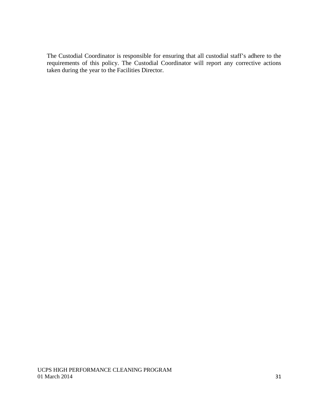The Custodial Coordinator is responsible for ensuring that all custodial staff's adhere to the requirements of this policy. The Custodial Coordinator will report any corrective actions taken during the year to the Facilities Director.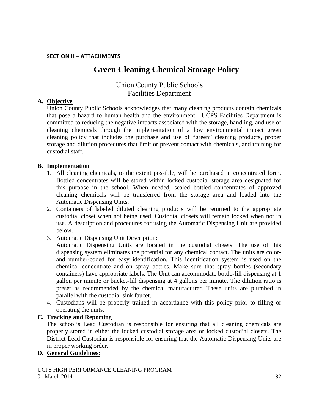# **Green Cleaning Chemical Storage Policy**

# Union County Public Schools Facilities Department

### **A. Objective**

Union County Public Schools acknowledges that many cleaning products contain chemicals that pose a hazard to human health and the environment. UCPS Facilities Department is committed to reducing the negative impacts associated with the storage, handling, and use of cleaning chemicals through the implementation of a low environmental impact green cleaning policy that includes the purchase and use of "green" cleaning products, proper storage and dilution procedures that limit or prevent contact with chemicals, and training for custodial staff.

## **B. Implementation**

- 1. All cleaning chemicals, to the extent possible, will be purchased in concentrated form. Bottled concentrates will be stored within locked custodial storage area designated for this purpose in the school. When needed, sealed bottled concentrates of approved cleaning chemicals will be transferred from the storage area and loaded into the Automatic Dispensing Units.
- 2. Containers of labeled diluted cleaning products will be returned to the appropriate custodial closet when not being used. Custodial closets will remain locked when not in use. A description and procedures for using the Automatic Dispensing Unit are provided below.
- 3. Automatic Dispensing Unit Description:

Automatic Dispensing Units are located in the custodial closets. The use of this dispensing system eliminates the potential for any chemical contact. The units are colorand number-coded for easy identification. This identification system is used on the chemical concentrate and on spray bottles. Make sure that spray bottles (secondary containers) have appropriate labels. The Unit can accommodate bottle-fill dispensing at 1 gallon per minute or bucket-fill dispensing at 4 gallons per minute. The dilution ratio is preset as recommended by the chemical manufacturer. These units are plumbed in parallel with the custodial sink faucet.

4. Custodians will be properly trained in accordance with this policy prior to filling or operating the units.

#### **C. Tracking and Reporting**

The school's Lead Custodian is responsible for ensuring that all cleaning chemicals are properly stored in either the locked custodial storage area or locked custodial closets. The District Lead Custodian is responsible for ensuring that the Automatic Dispensing Units are in proper working order.

#### **D. General Guidelines:**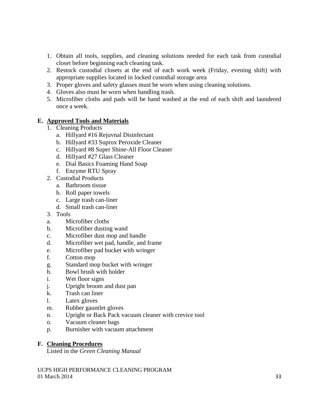- 1. Obtain all tools, supplies, and cleaning solutions needed for each task from custodial closet before beginning each cleaning task.
- 2. Restock custodial closets at the end of each work week (Friday, evening shift) with appropriate supplies located in locked custodial storage area
- 3. Proper gloves and safety glasses must be worn when using cleaning solutions.
- 4. Gloves also must be worn when handling trash.
- 5. Microfiber cloths and pads will be hand washed at the end of each shift and laundered once a week.

## **E. Approved Tools and Materials**

- 1. Cleaning Products
	- a. Hillyard #16 Rejuvnal Disinfectant
	- b. Hillyard #33 Suprox Peroxide Cleaner
	- c. Hillyard #8 Super Shine-All Floor Cleaner
	- d. Hillyard #27 Glass Cleaner
	- e. Dial Basics Foaming Hand Soap
	- f. Enzyme RTU Spray
- 2. Custodial Products
	- a. Bathroom tissue
	- b. Roll paper towels
	- c. Large trash can-liner
	- d. Small trash can-liner
- 3. Tools
- a. Microfiber cloths
- b. Microfiber dusting wand
- c. Microfiber dust mop and handle
- d. Microfiber wet pad, handle, and frame
- e. Microfiber pad bucket with wringer
- f. Cotton mop
- g. Standard mop bucket with wringer
- h. Bowl brush with holder
- i. Wet floor signs
- j. Upright broom and dust pan
- k. Trash can liner
- l. Latex gloves
- m. Rubber gauntlet gloves
- n. Upright or Back Pack vacuum cleaner with crevice tool
- o. Vacuum cleaner bags
- p. Burnisher with vacuum attachment

## **F. Cleaning Procedures**

Listed in the *Green Cleaning Manual*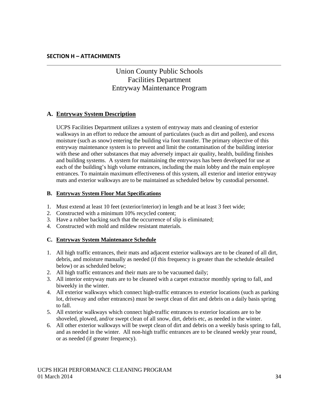# Union County Public Schools Facilities Department Entryway Maintenance Program

## **A. Entryway System Description**

UCPS Facilities Department utilizes a system of entryway mats and cleaning of exterior walkways in an effort to reduce the amount of particulates (such as dirt and pollen), and excess moisture (such as snow) entering the building via foot transfer. The primary objective of this entryway maintenance system is to prevent and limit the contamination of the building interior with these and other substances that may adversely impact air quality, health, building finishes and building systems. A system for maintaining the entryways has been developed for use at each of the building's high volume entrances, including the main lobby and the main employee entrances. To maintain maximum effectiveness of this system, all exterior and interior entryway mats and exterior walkways are to be maintained as scheduled below by custodial personnel.

#### **B. Entryway System Floor Mat Specifications**

- 1. Must extend at least 10 feet (exterior/interior) in length and be at least 3 feet wide;
- 2. Constructed with a minimum 10% recycled content;
- 3. Have a rubber backing such that the occurrence of slip is eliminated;
- 4. Constructed with mold and mildew resistant materials.

#### **C. Entryway System Maintenance Schedule**

- 1. All high traffic entrances, their mats and adjacent exterior walkways are to be cleaned of all dirt, debris, and moisture manually as needed (if this frequency is greater than the schedule detailed below) or as scheduled below;
- 2. All high traffic entrances and their mats are to be vacuumed daily;
- 3. All interior entryway mats are to be cleaned with a carpet extractor monthly spring to fall, and biweekly in the winter.
- 4. All exterior walkways which connect high-traffic entrances to exterior locations (such as parking lot, driveway and other entrances) must be swept clean of dirt and debris on a daily basis spring to fall.
- 5. All exterior walkways which connect high-traffic entrances to exterior locations are to be shoveled, plowed, and/or swept clean of all snow, dirt, debris etc, as needed in the winter.
- 6. All other exterior walkways will be swept clean of dirt and debris on a weekly basis spring to fall, and as needed in the winter. All non-high traffic entrances are to be cleaned weekly year round, or as needed (if greater frequency).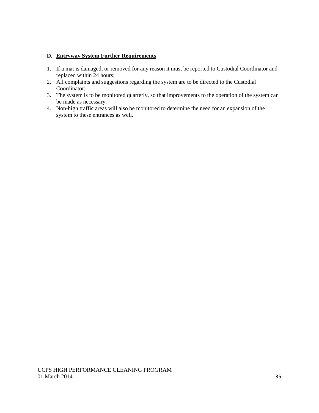#### **D. Entryway System Further Requirements**

- 1. If a mat is damaged, or removed for any reason it must be reported to Custodial Coordinator and replaced within 24 hours;
- 2. All complaints and suggestions regarding the system are to be directed to the Custodial Coordinator;
- 3. The system is to be monitored quarterly, so that improvements to the operation of the system can be made as necessary.
- 4. Non-high traffic areas will also be monitored to determine the need for an expansion of the system to these entrances as well.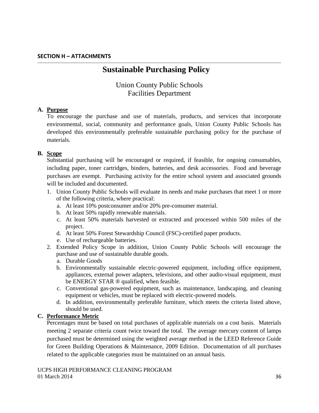# **Sustainable Purchasing Policy**

# Union County Public Schools Facilities Department

## **A. Purpose**

To encourage the purchase and use of materials, products, and services that incorporate environmental, social, community and performance goals, Union County Public Schools has developed this environmentally preferable sustainable purchasing policy for the purchase of materials.

## **B. Scope**

Substantial purchasing will be encouraged or required, if feasible, for ongoing consumables, including paper, toner cartridges, binders, batteries, and desk accessories. Food and beverage purchases are exempt. Purchasing activity for the entire school system and associated grounds will be included and documented.

- 1. Union County Public Schools will evaluate its needs and make purchases that meet 1 or more of the following criteria, where practical:
	- a. At least 10% postconsumer and/or 20% pre-consumer material.
	- b. At least 50% rapidly renewable materials.
	- c. At least 50% materials harvested or extracted and processed within 500 miles of the project.
	- d. At least 50% Forest Stewardship Council (FSC)-certified paper products.
	- e. Use of rechargeable batteries.
- 2. Extended Policy Scope in addition, Union County Public Schools will encourage the purchase and use of sustainable durable goods.
	- a. Durable Goods
	- b. Environmentally sustainable electric-powered equipment, including office equipment, appliances, external power adapters, televisions, and other audio-visual equipment, must be ENERGY STAR ® qualified, when feasible.
	- c. Conventional gas-powered equipment, such as maintenance, landscaping, and cleaning equipment or vehicles, must be replaced with electric-powered models.
	- d. In addition, environmentally preferable furniture, which meets the criteria listed above, should be used.

## **C. Performance Metric**

Percentages must be based on total purchases of applicable materials on a cost basis. Materials meeting 2 separate criteria count twice toward the total. The average mercury content of lamps purchased must be determined using the weighted average method in the LEED Reference Guide for Green Building Operations & Maintenance, 2009 Edition. Documentation of all purchases related to the applicable categories must be maintained on an annual basis.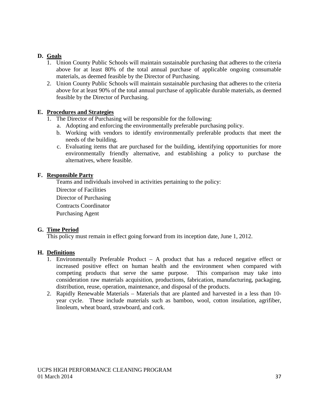## **D. Goals**

- 1. Union County Public Schools will maintain sustainable purchasing that adheres to the criteria above for at least 80% of the total annual purchase of applicable ongoing consumable materials, as deemed feasible by the Director of Purchasing.
- 2. Union County Public Schools will maintain sustainable purchasing that adheres to the criteria above for at least 90% of the total annual purchase of applicable durable materials, as deemed feasible by the Director of Purchasing.

#### **E. Procedures and Strategies**

- 1. The Director of Purchasing will be responsible for the following:
	- a. Adopting and enforcing the environmentally preferable purchasing policy.
	- b. Working with vendors to identify environmentally preferable products that meet the needs of the building.
	- c. Evaluating items that are purchased for the building, identifying opportunities for more environmentally friendly alternative, and establishing a policy to purchase the alternatives, where feasible.

#### **F. Responsible Party**

Teams and individuals involved in activities pertaining to the policy:

Director of Facilities

Director of Purchasing

Contracts Coordinator

Purchasing Agent

#### **G. Time Period**

This policy must remain in effect going forward from its inception date, June 1, 2012.

#### **H. Definitions**

- 1. Environmentally Preferable Product A product that has a reduced negative effect or increased positive effect on human health and the environment when compared with competing products that serve the same purpose. This comparison may take into consideration raw materials acquisition, productions, fabrication, manufacturing, packaging, distribution, reuse, operation, maintenance, and disposal of the products.
- 2. Rapidly Renewable Materials Materials that are planted and harvested in a less than 10 year cycle. These include materials such as bamboo, wool, cotton insulation, agrifiber, linoleum, wheat board, strawboard, and cork.